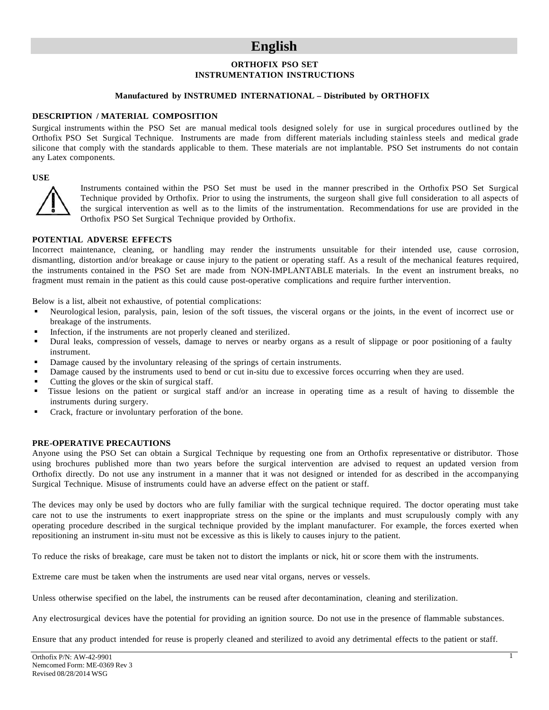## **English**

## **ORTHOFIX PSO SET INSTRUMENTATION INSTRUCTIONS**

#### **Manufactured by INSTRUMED INTERNATIONAL – Distributed by ORTHOFIX**

#### **DESCRIPTION / MATERIAL COMPOSITION**

Surgical instruments within the PSO Set are manual medical tools designed solely for use in surgical procedures outlined by the Orthofix PSO Set Surgical Technique. Instruments are made from different materials including stainless steels and medical grade silicone that comply with the standards applicable to them. These materials are not implantable. PSO Set instruments do not contain any Latex components.

#### **USE**



Instruments contained within the PSO Set must be used in the manner prescribed in the Orthofix PSO Set Surgical Technique provided by Orthofix. Prior to using the instruments, the surgeon shall give full consideration to all aspects of the surgical intervention as well as to the limits of the instrumentation. Recommendations for use are provided in the Orthofix PSO Set Surgical Technique provided by Orthofix.

#### **POTENTIAL ADVERSE EFFECTS**

Incorrect maintenance, cleaning, or handling may render the instruments unsuitable for their intended use, cause corrosion, dismantling, distortion and/or breakage or cause injury to the patient or operating staff. As a result of the mechanical features required, the instruments contained in the PSO Set are made from NON-IMPLANTABLE materials. In the event an instrument breaks, no fragment must remain in the patient as this could cause post-operative complications and require further intervention.

Below is a list, albeit not exhaustive, of potential complications:

- Neurological lesion, paralysis, pain, lesion of the soft tissues, the visceral organs or the joints, in the event of incorrect use or breakage of the instruments.
- Infection, if the instruments are not properly cleaned and sterilized.
- Dural leaks, compression of vessels, damage to nerves or nearby organs as a result of slippage or poor positioning of a faulty instrument.
- Damage caused by the involuntary releasing of the springs of certain instruments.
- Damage caused by the instruments used to bend or cut in-situ due to excessive forces occurring when they are used.
- Cutting the gloves or the skin of surgical staff.
- Tissue lesions on the patient or surgical staff and/or an increase in operating time as a result of having to dissemble the instruments during surgery.
- Crack, fracture or involuntary perforation of the bone.

#### **PRE-OPERATIVE PRECAUTIONS**

Anyone using the PSO Set can obtain a Surgical Technique by requesting one from an Orthofix representative or distributor. Those using brochures published more than two years before the surgical intervention are advised to request an updated version from Orthofix directly. Do not use any instrument in a manner that it was not designed or intended for as described in the accompanying Surgical Technique. Misuse of instruments could have an adverse effect on the patient or staff.

The devices may only be used by doctors who are fully familiar with the surgical technique required. The doctor operating must take care not to use the instruments to exert inappropriate stress on the spine or the implants and must scrupulously comply with any operating procedure described in the surgical technique provided by the implant manufacturer. For example, the forces exerted when repositioning an instrument in-situ must not be excessive as this is likely to causes injury to the patient.

To reduce the risks of breakage, care must be taken not to distort the implants or nick, hit or score them with the instruments.

Extreme care must be taken when the instruments are used near vital organs, nerves or vessels.

Unless otherwise specified on the label, the instruments can be reused after decontamination, cleaning and sterilization.

Any electrosurgical devices have the potential for providing an ignition source. Do not use in the presence of flammable substances.

Ensure that any product intended for reuse is properly cleaned and sterilized to avoid any detrimental effects to the patient or staff.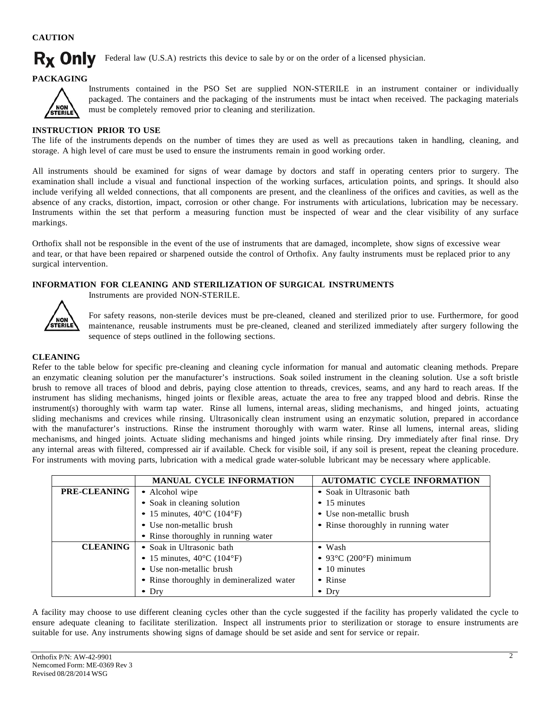## **CAUTION**

#### **Rx Only** Federal law (U.S.A) restricts this device to sale by or on the order of a licensed physician.

#### **PACKAGING**



Instruments contained in the PSO Set are supplied NON-STERILE in an instrument container or individually packaged. The containers and the packaging of the instruments must be intact when received. The packaging materials must be completely removed prior to cleaning and sterilization.

## **INSTRUCTION PRIOR TO USE**

The life of the instruments depends on the number of times they are used as well as precautions taken in handling, cleaning, and storage. A high level of care must be used to ensure the instruments remain in good working order.

All instruments should be examined for signs of wear damage by doctors and staff in operating centers prior to surgery. The examination shall include a visual and functional inspection of the working surfaces, articulation points, and springs. It should also include verifying all welded connections, that all components are present, and the cleanliness of the orifices and cavities, as well as the absence of any cracks, distortion, impact, corrosion or other change. For instruments with articulations, lubrication may be necessary. Instruments within the set that perform a measuring function must be inspected of wear and the clear visibility of any surface markings.

Orthofix shall not be responsible in the event of the use of instruments that are damaged, incomplete, show signs of excessive wear and tear, or that have been repaired or sharpened outside the control of Orthofix. Any faulty instruments must be replaced prior to any surgical intervention.

## **INFORMATION FOR CLEANING AND STERILIZATION OF SURGICAL INSTRUMENTS**

Instruments are provided NON-STERILE.



For safety reasons, non-sterile devices must be pre-cleaned, cleaned and sterilized prior to use. Furthermore, for good maintenance, reusable instruments must be pre-cleaned, cleaned and sterilized immediately after surgery following the sequence of steps outlined in the following sections.

#### **CLEANING**

Refer to the table below for specific pre-cleaning and cleaning cycle information for manual and automatic cleaning methods. Prepare an enzymatic cleaning solution per the manufacturer's instructions. Soak soiled instrument in the cleaning solution. Use a soft bristle brush to remove all traces of blood and debris, paying close attention to threads, crevices, seams, and any hard to reach areas. If the instrument has sliding mechanisms, hinged joints or flexible areas, actuate the area to free any trapped blood and debris. Rinse the instrument(s) thoroughly with warm tap water. Rinse all lumens, internal areas, sliding mechanisms, and hinged joints, actuating sliding mechanisms and crevices while rinsing. Ultrasonically clean instrument using an enzymatic solution, prepared in accordance with the manufacturer's instructions. Rinse the instrument thoroughly with warm water. Rinse all lumens, internal areas, sliding mechanisms, and hinged joints. Actuate sliding mechanisms and hinged joints while rinsing. Dry immediately after final rinse. Dry any internal areas with filtered, compressed air if available. Check for visible soil, if any soil is present, repeat the cleaning procedure. For instruments with moving parts, lubrication with a medical grade water-soluble lubricant may be necessary where applicable.

|                     | <b>MANUAL CYCLE INFORMATION</b>                 | <b>AUTOMATIC CYCLE INFORMATION</b>         |
|---------------------|-------------------------------------------------|--------------------------------------------|
| <b>PRE-CLEANING</b> | • Alcohol wipe                                  | • Soak in Ultrasonic bath                  |
|                     | • Soak in cleaning solution                     | $\bullet$ 15 minutes                       |
|                     | • 15 minutes, $40^{\circ}$ C (104°F)            | • Use non-metallic brush                   |
|                     | • Use non-metallic brush                        | • Rinse thoroughly in running water        |
|                     | • Rinse thoroughly in running water             |                                            |
| <b>CLEANING</b>     | • Soak in Ultrasonic bath                       | $\bullet$ Wash                             |
|                     | • 15 minutes, $40^{\circ}$ C (104 $^{\circ}$ F) | • 93 $\degree$ C (200 $\degree$ F) minimum |
|                     | • Use non-metallic brush                        | $\bullet$ 10 minutes                       |
|                     | • Rinse thoroughly in demineralized water       | • Rinse                                    |
|                     | $\bullet$ Dry                                   | $\bullet$ Dry                              |

A facility may choose to use different cleaning cycles other than the cycle suggested if the facility has properly validated the cycle to ensure adequate cleaning to facilitate sterilization. Inspect all instruments prior to sterilization or storage to ensure instruments are suitable for use. Any instruments showing signs of damage should be set aside and sent for service or repair.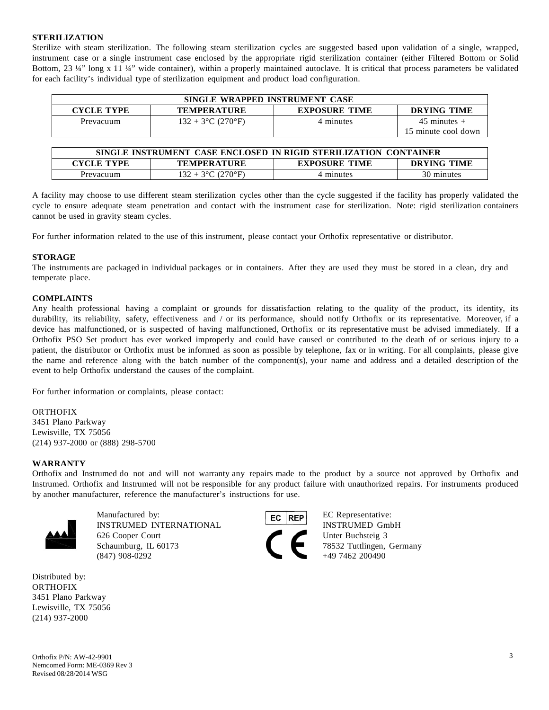### **STERILIZATION**

Sterilize with steam sterilization. The following steam sterilization cycles are suggested based upon validation of a single, wrapped, instrument case or a single instrument case enclosed by the appropriate rigid sterilization container (either Filtered Bottom or Solid Bottom, 23 ¼" long x 11 ¼" wide container), within a properly maintained autoclave. It is critical that process parameters be validated for each facility's individual type of sterilization equipment and product load configuration.

| SINGLE WRAPPED INSTRUMENT CASE                                                 |                      |           |                     |  |
|--------------------------------------------------------------------------------|----------------------|-----------|---------------------|--|
| <b>EXPOSURE TIME</b><br>DRYING TIME<br><b>CYCLE TYPE</b><br><b>TEMPERATURE</b> |                      |           |                     |  |
| Prevacuum                                                                      | $132 + 3$ °C (270°F) | 4 minutes | $45$ minutes $+$    |  |
|                                                                                |                      |           | 15 minute cool down |  |

| SINGLE INSTRUMENT CASE ENCLOSED IN RIGID STERILIZATION CONTAINER |                      |                      |                    |
|------------------------------------------------------------------|----------------------|----------------------|--------------------|
| CYCLE TYPE                                                       | <b>TEMPERATURE</b>   | <b>EXPOSURE TIME</b> | <b>DRYING TIME</b> |
| Prevacuum                                                        | $132 + 3$ °C (270°F) | 4 minutes            | 30 minutes         |

A facility may choose to use different steam sterilization cycles other than the cycle suggested if the facility has properly validated the cycle to ensure adequate steam penetration and contact with the instrument case for sterilization. Note: rigid sterilization containers cannot be used in gravity steam cycles.

For further information related to the use of this instrument, please contact your Orthofix representative or distributor.

#### **STORAGE**

The instruments are packaged in individual packages or in containers. After they are used they must be stored in a clean, dry and temperate place.

#### **COMPLAINTS**

Any health professional having a complaint or grounds for dissatisfaction relating to the quality of the product, its identity, its durability, its reliability, safety, effectiveness and / or its performance, should notify Orthofix or its representative. Moreover, if a device has malfunctioned, or is suspected of having malfunctioned, Orthofix or its representative must be advised immediately. If a Orthofix PSO Set product has ever worked improperly and could have caused or contributed to the death of or serious injury to a patient, the distributor or Orthofix must be informed as soon as possible by telephone, fax or in writing. For all complaints, please give the name and reference along with the batch number of the component(s), your name and address and a detailed description of the event to help Orthofix understand the causes of the complaint.

For further information or complaints, please contact:

#### ORTHOFIX

3451 Plano Parkway Lewisville, TX 75056 (214) 937-2000 or (888) 298-5700

#### **WARRANTY**

Orthofix and Instrumed do not and will not warranty any repairs made to the product by a source not approved by Orthofix and Instrumed. Orthofix and Instrumed will not be responsible for any product failure with unauthorized repairs. For instruments produced by another manufacturer, reference the manufacturer's instructions for use.



INSTRUMED INTERNATIONAL INSTRUMED GmbH 626 Cooper Court Unter Buchsteig 3 Schaumburg, IL 60173 78532 Tuttlingen, Germany (847) 908-0292 +49 7462 200490

Distributed by: ORTHOFIX 3451 Plano Parkway Lewisville, TX 75056 (214) 937-2000



Manufactured by: EC REP EC Representative: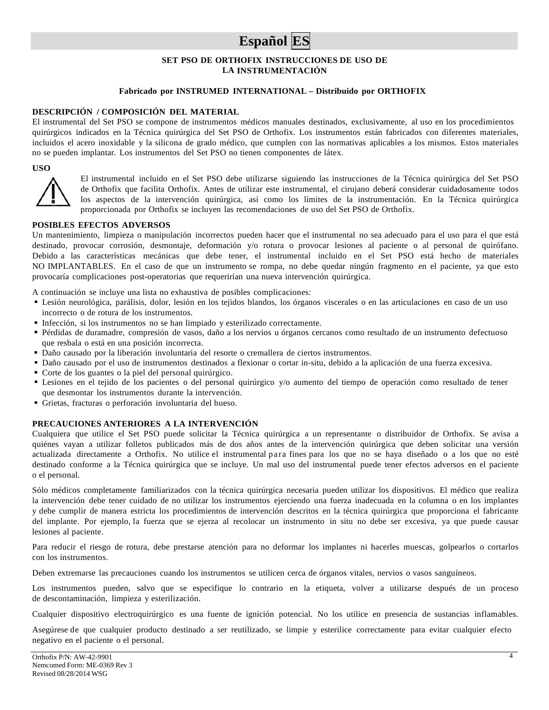## **Español ES**

## **SET PSO DE ORTHOFIX INSTRUCCIONES DE USO DE LA INSTRUMENTACIÓN**

## **Fabricado por INSTRUMED INTERNATIONAL – Distribuido por ORTHOFIX**

#### **DESCRIPCIÓN / COMPOSICIÓN DEL MATERIAL**

El instrumental del Set PSO se compone de instrumentos médicos manuales destinados, exclusivamente, al uso en los procedimientos quirúrgicos indicados en la Técnica quirúrgica del Set PSO de Orthofix. Los instrumentos están fabricados con diferentes materiales, incluidos el acero inoxidable y la silicona de grado médico, que cumplen con las normativas aplicables a los mismos. Estos materiales no se pueden implantar. Los instrumentos del Set PSO no tienen componentes de látex.

#### **USO**



El instrumental incluido en el Set PSO debe utilizarse siguiendo las instrucciones de la Técnica quirúrgica del Set PSO de Orthofix que facilita Orthofix. Antes de utilizar este instrumental, el cirujano deberá considerar cuidadosamente todos los aspectos de la intervención quirúrgica, así como los límites de la instrumentación. En la Técnica quirúrgica proporcionada por Orthofix se incluyen las recomendaciones de uso del Set PSO de Orthofix.

#### **POSIBLES EFECTOS ADVERSOS**

Un mantenimiento, limpieza o manipulación incorrectos pueden hacer que el instrumental no sea adecuado para el uso para el que está destinado, provocar corrosión, desmontaje, deformación y/o rotura o provocar lesiones al paciente o al personal de quirófano. Debido a las características mecánicas que debe tener, el instrumental incluido en el Set PSO está hecho de materiales NO IMPLANTABLES. En el caso de que un instrumento se rompa, no debe quedar ningún fragmento en el paciente, ya que esto provocaría complicaciones post-operatorias que requerirían una nueva intervención quirúrgica.

A continuación se incluye una lista no exhaustiva de posibles complicaciones:

- Lesión neurológica, parálisis, dolor, lesión en los tejidos blandos, los órganos viscerales o en las articulaciones en caso de un uso incorrecto o de rotura de los instrumentos.
- Infección, si los instrumentos no se han limpiado y esterilizado correctamente.
- Pérdidas de duramadre, compresión de vasos, daño a los nervios u órganos cercanos como resultado de un instrumento defectuoso que resbala o está en una posición incorrecta.
- Daño causado por la liberación involuntaria del resorte o cremallera de ciertos instrumentos.
- Daño causado por el uso de instrumentos destinados a flexionar o cortar in-situ, debido a la aplicación de una fuerza excesiva.
- Corte de los guantes o la piel del personal quirúrgico.
- Lesiones en el tejido de los pacientes o del personal quirúrgico y/o aumento del tiempo de operación como resultado de tener que desmontar los instrumentos durante la intervención.
- Grietas, fracturas o perforación involuntaria del hueso.

#### **PRECAUCIONES ANTERIORES A LA INTERVENCIÓN**

Cualquiera que utilice el Set PSO puede solicitar la Técnica quirúrgica a un representante o distribuidor de Orthofix. Se avisa a quiénes vayan a utilizar folletos publicados más de dos años antes de la intervención quirúrgica que deben solicitar una versión actualizada directamente a Orthofix. No utilice el instrumental para fines para los que no se haya diseñado o a los que no esté destinado conforme a la Técnica quirúrgica que se incluye. Un mal uso del instrumental puede tener efectos adversos en el paciente o el personal.

Sólo médicos completamente familiarizados con la técnica quirúrgica necesaria pueden utilizar los dispositivos. El médico que realiza la intervención debe tener cuidado de no utilizar los instrumentos ejerciendo una fuerza inadecuada en la columna o en los implantes y debe cumplir de manera estricta los procedimientos de intervención descritos en la técnica quirúrgica que proporciona el fabricante del implante. Por ejemplo, la fuerza que se ejerza al recolocar un instrumento in situ no debe ser excesiva, ya que puede causar lesiones al paciente.

Para reducir el riesgo de rotura, debe prestarse atención para no deformar los implantes ni hacerles muescas, golpearlos o cortarlos con los instrumentos.

Deben extremarse las precauciones cuando los instrumentos se utilicen cerca de órganos vitales, nervios o vasos sanguíneos.

Los instrumentos pueden, salvo que se especifique lo contrario en la etiqueta, volver a utilizarse después de un proceso de descontaminación, limpieza y esterilización.

Cualquier dispositivo electroquirúrgico es una fuente de ignición potencial. No los utilice en presencia de sustancias inflamables.

Asegúrese de que cualquier producto destinado a ser reutilizado, se limpie y esterilice correctamente para evitar cualquier efecto negativo en el paciente o el personal.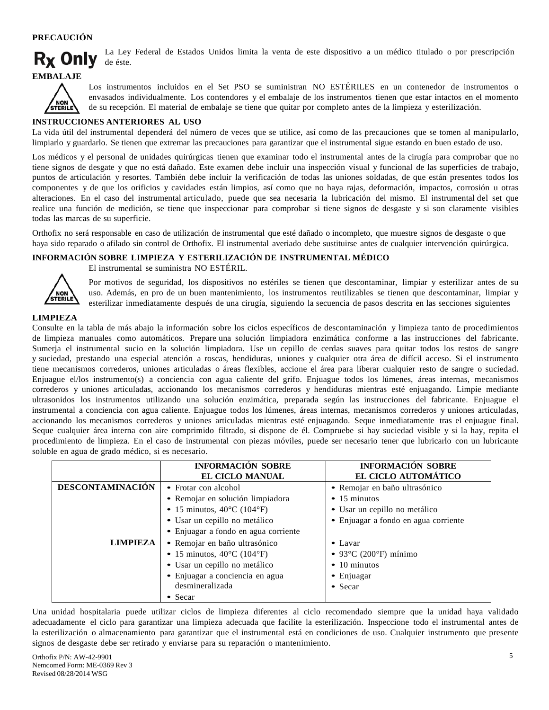## **PRECAUCIÓN**



La Ley Federal de Estados Unidos limita la venta de este dispositivo a un médico titulado o por prescripción de éste.





Los instrumentos incluidos en el Set PSO se suministran NO ESTÉRILES en un contenedor de instrumentos o envasados individualmente. Los contendores y el embalaje de los instrumentos tienen que estar intactos en el momento de su recepción. El material de embalaje se tiene que quitar por completo antes de la limpieza y esterilización.

#### **INSTRUCCIONES ANTERIORES AL USO**

La vida útil del instrumental dependerá del número de veces que se utilice, así como de las precauciones que se tomen al manipularlo, limpiarlo y guardarlo. Se tienen que extremar las precauciones para garantizar que el instrumental sigue estando en buen estado de uso.

Los médicos y el personal de unidades quirúrgicas tienen que examinar todo el instrumental antes de la cirugía para comprobar que no tiene signos de desgate y que no está dañado. Este examen debe incluir una inspección visual y funcional de las superficies de trabajo, puntos de articulación y resortes. También debe incluir la verificación de todas las uniones soldadas, de que están presentes todos los componentes y de que los orificios y cavidades están limpios, así como que no haya rajas, deformación, impactos, corrosión u otras alteraciones. En el caso del instrumental articulado, puede que sea necesaria la lubricación del mismo. El instrumental del set que realice una función de medición, se tiene que inspeccionar para comprobar si tiene signos de desgaste y si son claramente visibles todas las marcas de su superficie.

Orthofix no será responsable en caso de utilización de instrumental que esté dañado o incompleto, que muestre signos de desgaste o que haya sido reparado o afilado sin control de Orthofix. El instrumental averiado debe sustituirse antes de cualquier intervención quirúrgica.

## **INFORMACIÓN SOBRE LIMPIEZA Y ESTERILIZACIÓN DE INSTRUMENTAL MÉDICO**



El instrumental se suministra NO ESTÉRIL.

Por motivos de seguridad, los dispositivos no estériles se tienen que descontaminar, limpiar y esterilizar antes de su uso. Además, en pro de un buen mantenimiento, los instrumentos reutilizables se tienen que descontaminar, limpiar y esterilizar inmediatamente después de una cirugía, siguiendo la secuencia de pasos descrita en las secciones siguientes

## **LIMPIEZA**

Consulte en la tabla de más abajo la información sobre los ciclos específicos de descontaminación y limpieza tanto de procedimientos de limpieza manuales como automáticos. Prepare una solución limpiadora enzimática conforme a las instrucciones del fabricante. Sumerja el instrumental sucio en la solución limpiadora. Use un cepillo de cerdas suaves para quitar todos los restos de sangre y suciedad, prestando una especial atención a roscas, hendiduras, uniones y cualquier otra área de difícil acceso. Si el instrumento tiene mecanismos correderos, uniones articuladas o áreas flexibles, accione el área para liberar cualquier resto de sangre o suciedad. Enjuague el/los instrumento(s) a conciencia con agua caliente del grifo. Enjuague todos los lúmenes, áreas internas, mecanismos correderos y uniones articuladas, accionando los mecanismos correderos y hendiduras mientras esté enjuagando. Limpie mediante ultrasonidos los instrumentos utilizando una solución enzimática, preparada según las instrucciones del fabricante. Enjuague el instrumental a conciencia con agua caliente. Enjuague todos los lúmenes, áreas internas, mecanismos correderos y uniones articuladas, accionando los mecanismos correderos y uniones articuladas mientras esté enjuagando. Seque inmediatamente tras el enjuague final. Seque cualquier área interna con aire comprimido filtrado, si dispone de él. Compruebe si hay suciedad visible y si la hay, repita el procedimiento de limpieza. En el caso de instrumental con piezas móviles, puede ser necesario tener que lubricarlo con un lubricante soluble en agua de grado médico, si es necesario.

|                                                                                                                                                                                                               | <b>INFORMACIÓN SOBRE</b><br><b>EL CICLO MANUAL</b>                                                                                                                                   | <b>INFORMACIÓN SOBRE</b><br>EL CICLO AUTOMÁTICO                                                                                       |
|---------------------------------------------------------------------------------------------------------------------------------------------------------------------------------------------------------------|--------------------------------------------------------------------------------------------------------------------------------------------------------------------------------------|---------------------------------------------------------------------------------------------------------------------------------------|
| <b>DESCONTAMINACIÓN</b>                                                                                                                                                                                       | • Frotar con alcohol<br>· Remojar en solución limpiadora<br>• 15 minutos, $40^{\circ}$ C (104 $^{\circ}$ F)<br>· Usar un cepillo no metálico<br>• Enjuagar a fondo en agua corriente | • Remojar en baño ultrasónico<br>$\bullet$ 15 minutos<br>· Usar un cepillo no metálico<br>• Enjuagar a fondo en agua corriente        |
| <b>LIMPIEZA</b><br>• Remojar en baño ultrasónico<br>• 15 minutos, $40^{\circ}$ C (104 $^{\circ}$ F)<br>· Usar un cepillo no metálico<br>· Enjuagar a conciencia en agua<br>desmineralizada<br>$\bullet$ Secar |                                                                                                                                                                                      | $\bullet$ Lavar<br>$\bullet$ 93 $\degree$ C (200 $\degree$ F) mínimo<br>$\bullet$ 10 minutos<br>$\bullet$ Enjuagar<br>$\bullet$ Secar |

Una unidad hospitalaria puede utilizar ciclos de limpieza diferentes al ciclo recomendado siempre que la unidad haya validado adecuadamente el ciclo para garantizar una limpieza adecuada que facilite la esterilización. Inspeccione todo el instrumental antes de la esterilización o almacenamiento para garantizar que el instrumental está en condiciones de uso. Cualquier instrumento que presente signos de desgaste debe ser retirado y enviarse para su reparación o mantenimiento.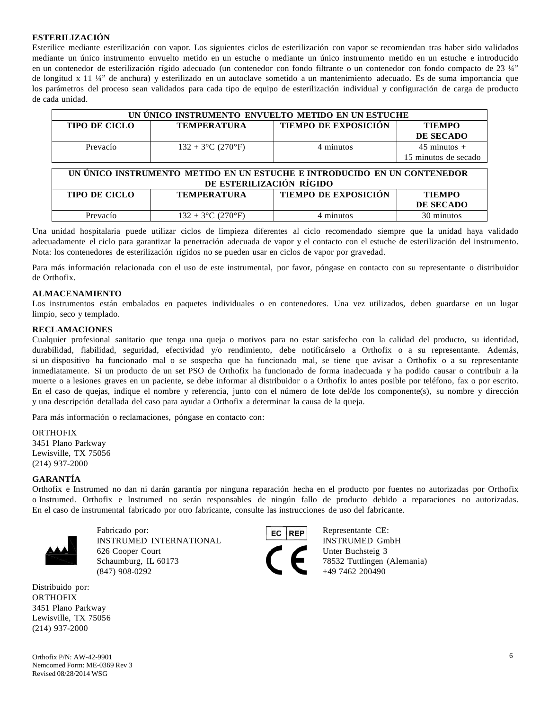### **ESTERILIZACIÓN**

Esterilice mediante esterilización con vapor. Los siguientes ciclos de esterilización con vapor se recomiendan tras haber sido validados mediante un único instrumento envuelto metido en un estuche o mediante un único instrumento metido en un estuche e introducido en un contenedor de esterilización rígido adecuado (un contenedor con fondo filtrante o un contenedor con fondo compacto de 23 ¼" de longitud x 11 ¼" de anchura) y esterilizado en un autoclave sometido a un mantenimiento adecuado. Es de suma importancia que los parámetros del proceso sean validados para cada tipo de equipo de esterilización individual y configuración de carga de producto de cada unidad.

| UN UNICO INSTRUMENTO ENVUELTO METIDO EN UN ESTUCHE |                      |                             |                        |
|----------------------------------------------------|----------------------|-----------------------------|------------------------|
| <b>TIPO DE CICLO</b>                               | <b>TEMPERATURA</b>   | <b>TIEMPO DE EXPOSICIÓN</b> | <b>TIEMPO</b>          |
|                                                    |                      |                             | DE SECADO              |
| Prevacío                                           | $132 + 3$ °C (270°F) | 4 minutos                   | $45 \text{ minutes} +$ |
|                                                    |                      |                             | 15 minutos de secado   |

| UN ÚNICO INSTRUMENTO METIDO EN UN ESTUCHE E INTRODUCIDO EN UN CONTENEDOR                   |  |  |           |  |
|--------------------------------------------------------------------------------------------|--|--|-----------|--|
| DE ESTERILIZACIÓN RÍGIDO                                                                   |  |  |           |  |
| <b>TIEMPO DE EXPOSICIÓN</b><br><b>TIPO DE CICLO</b><br><b>TIEMPO</b><br><b>TEMPERATURA</b> |  |  |           |  |
|                                                                                            |  |  | DE SECADO |  |

Una unidad hospitalaria puede utilizar ciclos de limpieza diferentes al ciclo recomendado siempre que la unidad haya validado adecuadamente el ciclo para garantizar la penetración adecuada de vapor y el contacto con el estuche de esterilización del instrumento. Nota: los contenedores de esterilización rígidos no se pueden usar en ciclos de vapor por gravedad.

Prevacío  $132 + 3^{\circ}C (270^{\circ}F)$  4 minutos  $132 + 3^{\circ}C (270^{\circ}F)$  4 minutos  $30$  minutos

Para más información relacionada con el uso de este instrumental, por favor, póngase en contacto con su representante o distribuidor de Orthofix.

#### **ALMACENAMIENTO**

Los instrumentos están embalados en paquetes individuales o en contenedores. Una vez utilizados, deben guardarse en un lugar limpio, seco y templado.

#### **RECLAMACIONES**

Cualquier profesional sanitario que tenga una queja o motivos para no estar satisfecho con la calidad del producto, su identidad, durabilidad, fiabilidad, seguridad, efectividad y/o rendimiento, debe notificárselo a Orthofix o a su representante. Además, si un dispositivo ha funcionado mal o se sospecha que ha funcionado mal, se tiene que avisar a Orthofix o a su representante inmediatamente. Si un producto de un set PSO de Orthofix ha funcionado de forma inadecuada y ha podido causar o contribuir a la muerte o a lesiones graves en un paciente, se debe informar al distribuidor o a Orthofix lo antes posible por teléfono, fax o por escrito. En el caso de quejas, indique el nombre y referencia, junto con el número de lote del/de los componente(s), su nombre y dirección y una descripción detallada del caso para ayudar a Orthofix a determinar la causa de la queja.

Para más información o reclamaciones, póngase en contacto con:

ORTHOFIX 3451 Plano Parkway Lewisville, TX 75056 (214) 937-2000

#### **GARANTÍA**

Orthofix e Instrumed no dan ni darán garantía por ninguna reparación hecha en el producto por fuentes no autorizadas por Orthofix o Instrumed. Orthofix e Instrumed no serán responsables de ningún fallo de producto debido a reparaciones no autorizadas. En el caso de instrumental fabricado por otro fabricante, consulte las instrucciones de uso del fabricante.



Fabricado por: **Representante CE:** Representante CE: INSTRUMED INTERNATIONAL INSTRUMED GmbH 626 Cooper Court Unter Buchsteig 3 Schaumburg, IL 60173 78532 Tuttlingen (Alemania)<br>
(847) 908-0292 49 7462 200490

Distribuido por: **ORTHOFIX** 3451 Plano Parkway Lewisville, TX 75056 (214) 937-2000



+49 7462 200490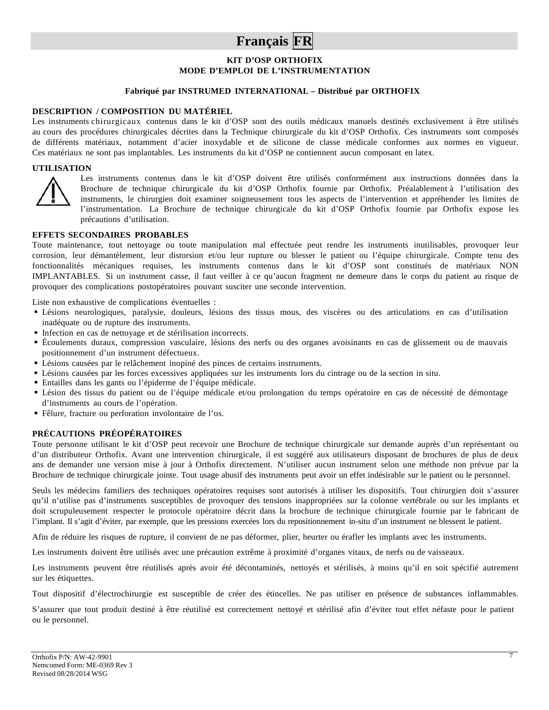## **Français FR**

## **KIT D'OSP ORTHOFIX MODE D'EMPLOI DE L'INSTRUMENTATION**

### **Fabriqué par INSTRUMED INTERNATIONAL – Distribué par ORTHOFIX**

#### **DESCRIPTION / COMPOSITION DU MATÉRIEL**

Les instruments chirurgicaux contenus dans le kit d'OSP sont des outils médicaux manuels destinés exclusivement à être utilisés au cours des procédures chirurgicales décrites dans la Technique chirurgicale du kit d'OSP Orthofix. Ces instruments sont composés de différents matériaux, notamment d'acier inoxydable et de silicone de classe médicale conformes aux normes en vigueur. Ces matériaux ne sont pas implantables. Les instruments du kit d'OSP ne contiennent aucun composant en latex.

#### **UTILISATION**



Les instruments contenus dans le kit d'OSP doivent être utilisés conformément aux instructions données dans la Brochure de technique chirurgicale du kit d'OSP Orthofix fournie par Orthofix. Préalablement à l'utilisation des instruments, le chirurgien doit examiner soigneusement tous les aspects de l'intervention et appréhender les limites de l'instrumentation. La Brochure de technique chirurgicale du kit d'OSP Orthofix fournie par Orthofix expose les précautions d'utilisation.

#### **EFFETS SECONDAIRES PROBABLES**

Toute maintenance, tout nettoyage ou toute manipulation mal effectuée peut rendre les instruments inutilisables, provoquer leur corrosion, leur démantèlement, leur distorsion et/ou leur rupture ou blesser le patient ou l'équipe chirurgicale. Compte tenu des fonctionnalités mécaniques requises, les instruments contenus dans le kit d'OSP sont constitués de matériaux NON IMPLANTABLES. Si un instrument casse, il faut veiller à ce qu'aucun fragment ne demeure dans le corps du patient au risque de provoquer des complications postopératoires pouvant susciter une seconde intervention.

Liste non exhaustive de complications éventuelles :

- Lésions neurologiques, paralysie, douleurs, lésions des tissus mous, des viscères ou des articulations en cas d'utilisation inadéquate ou de rupture des instruments.
- Infection en cas de nettoyage et de stérilisation incorrects.
- Écoulements duraux, compression vasculaire, lésions des nerfs ou des organes avoisinants en cas de glissement ou de mauvais positionnement d'un instrument défectueux.
- Lésions causées par le relâchement inopiné des pinces de certains instruments.
- Lésions causées par les forces excessives appliquées sur les instruments lors du cintrage ou de la section in situ.
- Entailles dans les gants ou l'épiderme de l'équipe médicale.
- Lésion des tissus du patient ou de l'équipe médicale et/ou prolongation du temps opératoire en cas de nécessité de démontage d'instruments au cours de l'opération.
- Fêlure, fracture ou perforation involontaire de l'os.

#### **PRÉCAUTIONS PRÉOPÉRATOIRES**

Toute personne utilisant le kit d'OSP peut recevoir une Brochure de technique chirurgicale sur demande auprès d'un représentant ou d'un distributeur Orthofix. Avant une intervention chirurgicale, il est suggéré aux utilisateurs disposant de brochures de plus de deux ans de demander une version mise à jour à Orthofix directement. N'utiliser aucun instrument selon une méthode non prévue par la Brochure de technique chirurgicale jointe. Tout usage abusif des instruments peut avoir un effet indésirable sur le patient ou le personnel.

Seuls les médecins familiers des techniques opératoires requises sont autorisés à utiliser les dispositifs. Tout chirurgien doit s'assurer qu'il n'utilise pas d'instruments susceptibles de provoquer des tensions inappropriées sur la colonne vertébrale ou sur les implants et doit scrupuleusement respecter le protocole opératoire décrit dans la brochure de technique chirurgicale fournie par le fabricant de l'implant. Il s'agit d'éviter, par exemple, que les pressions exercées lors du repositionnement in-situ d'un instrument ne blessent le patient.

Afin de réduire les risques de rupture, il convient de ne pas déformer, plier, heurter ou érafler les implants avec les instruments.

Les instruments doivent être utilisés avec une précaution extrême à proximité d'organes vitaux, de nerfs ou de vaisseaux.

Les instruments peuvent être réutilisés après avoir été décontaminés, nettoyés et stérilisés, à moins qu'il en soit spécifié autrement sur les étiquettes.

Tout dispositif d'électrochirurgie est susceptible de créer des étincelles. Ne pas utiliser en présence de substances inflammables.

S'assurer que tout produit destiné à être réutilisé est correctement nettoyé et stérilisé afin d'éviter tout effet néfaste pour le patient ou le personnel.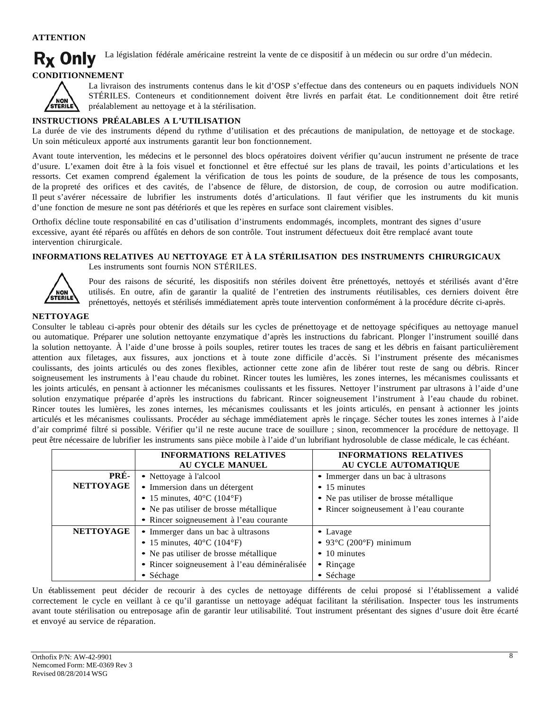## **ATTENTION**

**Rx Only** La législation fédérale américaine restreint la vente de ce dispositif à un médecin ou sur ordre d'un médecin.

## **CONDITIONNEMENT**



La livraison des instruments contenus dans le kit d'OSP s'effectue dans des conteneurs ou en paquets individuels NON STÉRILES. Conteneurs et conditionnement doivent être livrés en parfait état. Le conditionnement doit être retiré préalablement au nettoyage et à la stérilisation.

## **INSTRUCTIONS PRÉALABLES A L'UTILISATION**

La durée de vie des instruments dépend du rythme d'utilisation et des précautions de manipulation, de nettoyage et de stockage. Un soin méticuleux apporté aux instruments garantit leur bon fonctionnement.

Avant toute intervention, les médecins et le personnel des blocs opératoires doivent vérifier qu'aucun instrument ne présente de trace d'usure. L'examen doit être à la fois visuel et fonctionnel et être effectué sur les plans de travail, les points d'articulations et les ressorts. Cet examen comprend également la vérification de tous les points de soudure, de la présence de tous les composants, de la propreté des orifices et des cavités, de l'absence de fêlure, de distorsion, de coup, de corrosion ou autre modification. Il peut s'avérer nécessaire de lubrifier les instruments dotés d'articulations. Il faut vérifier que les instruments du kit munis d'une fonction de mesure ne sont pas détériorés et que les repères en surface sont clairement visibles.

Orthofix décline toute responsabilité en cas d'utilisation d'instruments endommagés, incomplets, montrant des signes d'usure excessive, ayant été réparés ou affûtés en dehors de son contrôle. Tout instrument défectueux doit être remplacé avant toute intervention chirurgicale.

## **INFORMATIONS RELATIVES AU NETTOYAGE ET À LA STÉRILISATION DES INSTRUMENTS CHIRURGICAUX**



Les instruments sont fournis NON STÉRILES.

Pour des raisons de sécurité, les dispositifs non stériles doivent être prénettoyés, nettoyés et stérilisés avant d'être utilisés. En outre, afin de garantir la qualité de l'entretien des instruments réutilisables, ces derniers doivent être prénettoyés, nettoyés et stérilisés immédiatement après toute intervention conformément à la procédure décrite ci-après.

## **NETTOYAGE**

Consulter le tableau ci-après pour obtenir des détails sur les cycles de prénettoyage et de nettoyage spécifiques au nettoyage manuel ou automatique. Préparer une solution nettoyante enzymatique d'après les instructions du fabricant. Plonger l'instrument souillé dans la solution nettoyante. À l'aide d'une brosse à poils souples, retirer toutes les traces de sang et les débris en faisant particulièrement attention aux filetages, aux fissures, aux jonctions et à toute zone difficile d'accès. Si l'instrument présente des mécanismes coulissants, des joints articulés ou des zones flexibles, actionner cette zone afin de libérer tout reste de sang ou débris. Rincer soigneusement les instruments à l'eau chaude du robinet. Rincer toutes les lumières, les zones internes, les mécanismes coulissants et les joints articulés, en pensant à actionner les mécanismes coulissants et les fissures. Nettoyer l'instrument par ultrasons à l'aide d'une solution enzymatique préparée d'après les instructions du fabricant. Rincer soigneusement l'instrument à l'eau chaude du robinet. Rincer toutes les lumières, les zones internes, les mécanismes coulissants et les joints articulés, en pensant à actionner les joints articulés et les mécanismes coulissants. Procéder au séchage immédiatement après le rinçage. Sécher toutes les zones internes à l'aide d'air comprimé filtré si possible. Vérifier qu'il ne reste aucune trace de souillure ; sinon, recommencer la procédure de nettoyage. Il peut être nécessaire de lubrifier les instruments sans pièce mobile à l'aide d'un lubrifiant hydrosoluble de classe médicale, le cas échéant.

|                  | <b>INFORMATIONS RELATIVES</b><br><b>AU CYCLE MANUEL</b>                          | <b>INFORMATIONS RELATIVES</b><br>AU CYCLE AUTOMATIQUE                             |
|------------------|----------------------------------------------------------------------------------|-----------------------------------------------------------------------------------|
| PRÉ-             | • Nettoyage à l'alcool                                                           | • Immerger dans un bac à ultrasons                                                |
| <b>NETTOYAGE</b> | • Immersion dans un détergent<br>• 15 minutes, $40^{\circ}$ C (104 $^{\circ}$ F) | $\bullet$ 15 minutes                                                              |
|                  | • Ne pas utiliser de brosse métallique                                           | • Ne pas utiliser de brosse métallique<br>• Rincer soigneusement à l'eau courante |
|                  | • Rincer soigneusement à l'eau courante                                          |                                                                                   |
| <b>NETTOYAGE</b> | • Immerger dans un bac à ultrasons                                               | $\bullet$ Lavage                                                                  |
|                  | • 15 minutes, $40^{\circ}$ C (104 $^{\circ}$ F)                                  | $\bullet$ 93°C (200°F) minimum                                                    |
|                  | • Ne pas utiliser de brosse métallique                                           | $\bullet$ 10 minutes                                                              |
|                  | • Rincer soigneusement à l'eau déminéralisée                                     | $\bullet$ Rinçage                                                                 |
|                  | $\bullet$ Séchage                                                                | • Séchage                                                                         |

Un établissement peut décider de recourir à des cycles de nettoyage différents de celui proposé si l'établissement a validé correctement le cycle en veillant à ce qu'il garantisse un nettoyage adéquat facilitant la stérilisation. Inspecter tous les instruments avant toute stérilisation ou entreposage afin de garantir leur utilisabilité. Tout instrument présentant des signes d'usure doit être écarté et envoyé au service de réparation.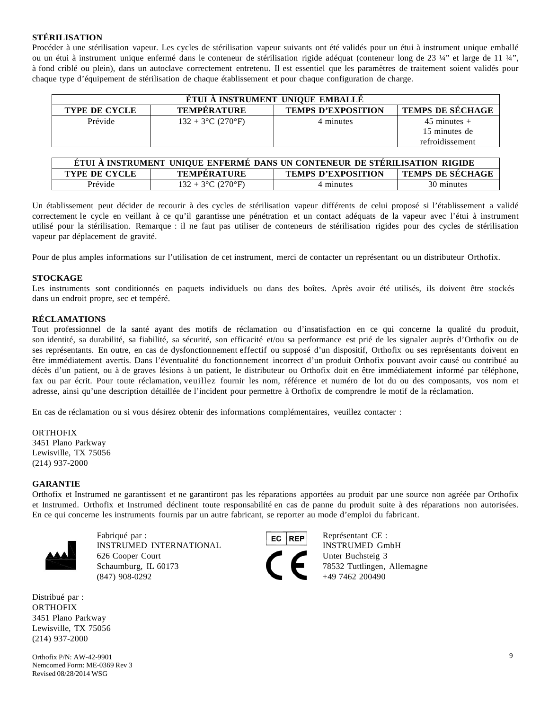## **STÉRILISATION**

Procéder à une stérilisation vapeur. Les cycles de stérilisation vapeur suivants ont été validés pour un étui à instrument unique emballé ou un étui à instrument unique enfermé dans le conteneur de stérilisation rigide adéquat (conteneur long de 23 ¼" et large de 11 ¼", à fond criblé ou plein), dans un autoclave correctement entretenu. Il est essentiel que les paramètres de traitement soient validés pour chaque type d'équipement de stérilisation de chaque établissement et pour chaque configuration de charge.

| ÉTUI À INSTRUMENT UNIQUE EMBALLÉ |                      |                           |                         |
|----------------------------------|----------------------|---------------------------|-------------------------|
| <b>TYPE DE CYCLE</b>             | <b>TEMPERATURE</b>   | <b>TEMPS D'EXPOSITION</b> | <b>TEMPS DE SÉCHAGE</b> |
| Prévide                          | $132 + 3$ °C (270°F) | 4 minutes                 | $45$ minutes $+$        |
|                                  |                      |                           | 15 minutes de           |
|                                  |                      |                           | refroidissement         |

| ETUI A INSTRUMENT UNIQUE ENFERME DANS UN CONTENEUR DE STÉRILISATION RIGIDE                         |                      |           |            |
|----------------------------------------------------------------------------------------------------|----------------------|-----------|------------|
| <b>TEMPS DE SÉCHAGE</b><br><b>TYPE DE CYCLE</b><br><b>TEMPS D'EXPOSITION</b><br><b>TEMPERATURE</b> |                      |           |            |
| Prévide                                                                                            | $132 + 3$ °C (270°F) | 4 minutes | 30 minutes |

Un établissement peut décider de recourir à des cycles de stérilisation vapeur différents de celui proposé si l'établissement a validé correctement le cycle en veillant à ce qu'il garantisse une pénétration et un contact adéquats de la vapeur avec l'étui à instrument utilisé pour la stérilisation. Remarque : il ne faut pas utiliser de conteneurs de stérilisation rigides pour des cycles de stérilisation vapeur par déplacement de gravité.

Pour de plus amples informations sur l'utilisation de cet instrument, merci de contacter un représentant ou un distributeur Orthofix.

#### **STOCKAGE**

Les instruments sont conditionnés en paquets individuels ou dans des boîtes. Après avoir été utilisés, ils doivent être stockés dans un endroit propre, sec et tempéré.

#### **RÉCLAMATIONS**

Tout professionnel de la santé ayant des motifs de réclamation ou d'insatisfaction en ce qui concerne la qualité du produit, son identité, sa durabilité, sa fiabilité, sa sécurité, son efficacité et/ou sa performance est prié de les signaler auprès d'Orthofix ou de ses représentants. En outre, en cas de dysfonctionnement effectif ou supposé d'un dispositif, Orthofix ou ses représentants doivent en être immédiatement avertis. Dans l'éventualité du fonctionnement incorrect d'un produit Orthofix pouvant avoir causé ou contribué au décès d'un patient, ou à de graves lésions à un patient, le distributeur ou Orthofix doit en être immédiatement informé par téléphone, fax ou par écrit. Pour toute réclamation, veuillez fournir les nom, référence et numéro de lot du ou des composants, vos nom et adresse, ainsi qu'une description détaillée de l'incident pour permettre à Orthofix de comprendre le motif de la réclamation.

En cas de réclamation ou si vous désirez obtenir des informations complémentaires, veuillez contacter :

ORTHOFIX 3451 Plano Parkway Lewisville, TX 75056 (214) 937-2000

#### **GARANTIE**

Orthofix et Instrumed ne garantissent et ne garantiront pas les réparations apportées au produit par une source non agréée par Orthofix et Instrumed. Orthofix et Instrumed déclinent toute responsabilité en cas de panne du produit suite à des réparations non autorisées. En ce qui concerne les instruments fournis par un autre fabricant, se reporter au mode d'emploi du fabricant.



Fabriqué par : Représentant CE : INSTRUMED INTERNATIONAL INSTRUMED GmbH 626 Cooper Court Unter Buchsteig 3 Schaumburg, IL 60173 78532 Tuttlingen, Allemagne  $(847)$  908-0292  $+49$  7462 200490

Distribué par : ORTHOFIX 3451 Plano Parkway Lewisville, TX 75056 (214) 937-2000

Orthofix P/N: AW-42-9901 9 Nemcomed Form: ME-0369 Rev 3 Revised 08/28/2014 WSG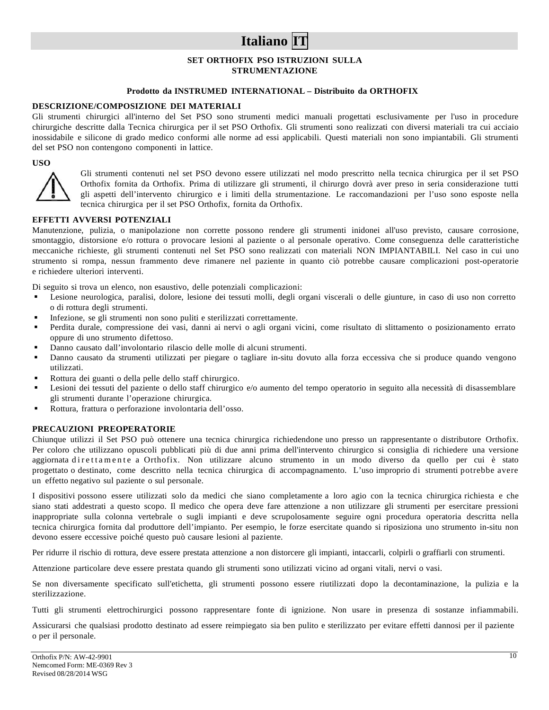# **Italiano IT**

#### **SET ORTHOFIX PSO ISTRUZIONI SULLA STRUMENTAZIONE**

### **Prodotto da INSTRUMED INTERNATIONAL – Distribuito da ORTHOFIX**

#### **DESCRIZIONE/COMPOSIZIONE DEI MATERIALI**

Gli strumenti chirurgici all'interno del Set PSO sono strumenti medici manuali progettati esclusivamente per l'uso in procedure chirurgiche descritte dalla Tecnica chirurgica per il set PSO Orthofix. Gli strumenti sono realizzati con diversi materiali tra cui acciaio inossidabile e silicone di grado medico conformi alle norme ad essi applicabili. Questi materiali non sono impiantabili. Gli strumenti del set PSO non contengono componenti in lattice.

#### **USO**



Gli strumenti contenuti nel set PSO devono essere utilizzati nel modo prescritto nella tecnica chirurgica per il set PSO Orthofix fornita da Orthofix. Prima di utilizzare gli strumenti, il chirurgo dovrà aver preso in seria considerazione tutti gli aspetti dell'intervento chirurgico e i limiti della strumentazione. Le raccomandazioni per l'uso sono esposte nella tecnica chirurgica per il set PSO Orthofix, fornita da Orthofix.

#### **EFFETTI AVVERSI POTENZIALI**

Manutenzione, pulizia, o manipolazione non corrette possono rendere gli strumenti inidonei all'uso previsto, causare corrosione, smontaggio, distorsione e/o rottura o provocare lesioni al paziente o al personale operativo. Come conseguenza delle caratteristiche meccaniche richieste, gli strumenti contenuti nel Set PSO sono realizzati con materiali NON IMPIANTABILI. Nel caso in cui uno strumento si rompa, nessun frammento deve rimanere nel paziente in quanto ciò potrebbe causare complicazioni post-operatorie e richiedere ulteriori interventi.

Di seguito si trova un elenco, non esaustivo, delle potenziali complicazioni:

- Lesione neurologica, paralisi, dolore, lesione dei tessuti molli, degli organi viscerali o delle giunture, in caso di uso non corretto o di rottura degli strumenti.
- Infezione, se gli strumenti non sono puliti e sterilizzati correttamente.
- Perdita durale, compressione dei vasi, danni ai nervi o agli organi vicini, come risultato di slittamento o posizionamento errato oppure di uno strumento difettoso.
- Danno causato dall'involontario rilascio delle molle di alcuni strumenti.
- Danno causato da strumenti utilizzati per piegare o tagliare in-situ dovuto alla forza eccessiva che si produce quando vengono utilizzati.
- Rottura dei guanti o della pelle dello staff chirurgico.
- Lesioni dei tessuti del paziente o dello staff chirurgico e/o aumento del tempo operatorio in seguito alla necessità di disassemblare gli strumenti durante l'operazione chirurgica.
- Rottura, frattura o perforazione involontaria dell'osso.

## **PRECAUZIONI PREOPERATORIE**

Chiunque utilizzi il Set PSO può ottenere una tecnica chirurgica richiedendone uno presso un rappresentante o distributore Orthofix. Per coloro che utilizzano opuscoli pubblicati più di due anni prima dell'intervento chirurgico si consiglia di richiedere una versione aggiornata direttamente a Orthofix. Non utilizzare alcuno strumento in un modo diverso da quello per cui è stato progettato o destinato, come descritto nella tecnica chirurgica di accompagnamento. L'uso improprio di strumenti potrebbe avere un effetto negativo sul paziente o sul personale.

I dispositivi possono essere utilizzati solo da medici che siano completamente a loro agio con la tecnica chirurgica richiesta e che siano stati addestrati a questo scopo. Il medico che opera deve fare attenzione a non utilizzare gli strumenti per esercitare pressioni inappropriate sulla colonna vertebrale o sugli impianti e deve scrupolosamente seguire ogni procedura operatoria descritta nella tecnica chirurgica fornita dal produttore dell'impianto. Per esempio, le forze esercitate quando si riposiziona uno strumento in-situ non devono essere eccessive poiché questo può causare lesioni al paziente.

Per ridurre il rischio di rottura, deve essere prestata attenzione a non distorcere gli impianti, intaccarli, colpirli o graffiarli con strumenti.

Attenzione particolare deve essere prestata quando gli strumenti sono utilizzati vicino ad organi vitali, nervi o vasi.

Se non diversamente specificato sull'etichetta, gli strumenti possono essere riutilizzati dopo la decontaminazione, la pulizia e la sterilizzazione.

Tutti gli strumenti elettrochirurgici possono rappresentare fonte di ignizione. Non usare in presenza di sostanze infiammabili.

Assicurarsi che qualsiasi prodotto destinato ad essere reimpiegato sia ben pulito e sterilizzato per evitare effetti dannosi per il paziente o per il personale.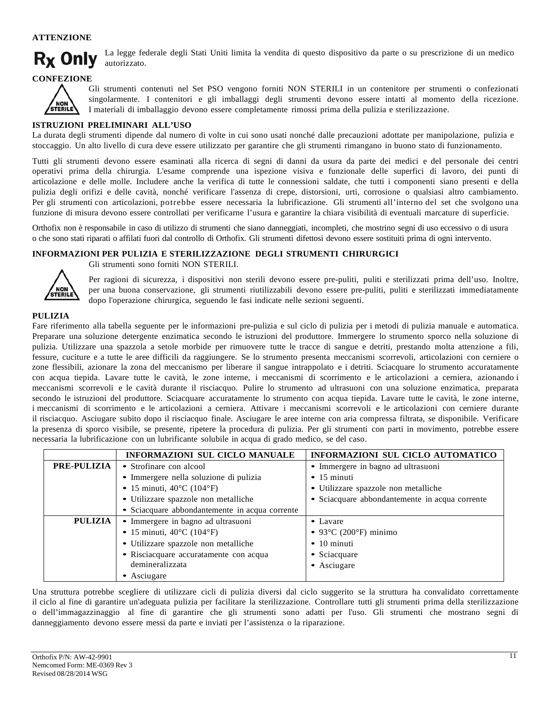## **ATTENZIONE**



La legge federale degli Stati Uniti limita la vendita di questo dispositivo da parte o su prescrizione di un medico autorizzato.

**CONFEZIONE**



Gli strumenti contenuti nel Set PSO vengono forniti NON STERILI in un contenitore per strumenti o confezionati singolarmente. I contenitori e gli imballaggi degli strumenti devono essere intatti al momento della ricezione. I materiali di imballaggio devono essere completamente rimossi prima della pulizia e sterilizzazione.

### **ISTRUZIONI PRELIMINARI ALL'USO**

La durata degli strumenti dipende dal numero di volte in cui sono usati nonché dalle precauzioni adottate per manipolazione, pulizia e stoccaggio. Un alto livello di cura deve essere utilizzato per garantire che gli strumenti rimangano in buono stato di funzionamento.

Tutti gli strumenti devono essere esaminati alla ricerca di segni di danni da usura da parte dei medici e del personale dei centri operativi prima della chirurgia. L'esame comprende una ispezione visiva e funzionale delle superfici di lavoro, dei punti di articolazione e delle molle. Includere anche la verifica di tutte le connessioni saldate, che tutti i componenti siano presenti e della pulizia degli orifizi e delle cavità, nonché verificare l'assenza di crepe, distorsioni, urti, corrosione o qualsiasi altro cambiamento. Per gli strumenti con articolazioni, potrebbe essere necessaria la lubrificazione. Gli strumenti all'interno del set che svolgono una funzione di misura devono essere controllati per verificarne l'usura e garantire la chiara visibilità di eventuali marcature di superficie.

Orthofix non è responsabile in caso di utilizzo di strumenti che siano danneggiati, incompleti, che mostrino segni di uso eccessivo o di usura o che sono stati riparati o affilati fuori dal controllo di Orthofix. Gli strumenti difettosi devono essere sostituiti prima di ogni intervento.

#### **INFORMAZIONI PER PULIZIA E STERILIZZAZIONE DEGLI STRUMENTI CHIRURGICI**



Gli strumenti sono forniti NON STERILI.

Per ragioni di sicurezza, i dispositivi non sterili devono essere pre-puliti, puliti e sterilizzati prima dell'uso. Inoltre, per una buona conservazione, gli strumenti riutilizzabili devono essere pre-puliti, puliti e sterilizzati immediatamente dopo l'operazione chirurgica, seguendo le fasi indicate nelle sezioni seguenti.

#### **PULIZIA**

Fare riferimento alla tabella seguente per le informazioni pre-pulizia e sul ciclo di pulizia per i metodi di pulizia manuale e automatica. Preparare una soluzione detergente enzimatica secondo le istruzioni del produttore. Immergere lo strumento sporco nella soluzione di pulizia. Utilizzare una spazzola a setole morbide per rimuovere tutte le tracce di sangue e detriti, prestando molta attenzione a fili, fessure, cuciture e a tutte le aree difficili da raggiungere. Se lo strumento presenta meccanismi scorrevoli, articolazioni con cerniere o zone flessibili, azionare la zona del meccanismo per liberare il sangue intrappolato e i detriti. Sciacquare lo strumento accuratamente con acqua tiepida. Lavare tutte le cavità, le zone interne, i meccanismi di scorrimento e le articolazioni a cerniera, azionando i meccanismi scorrevoli e le cavità durante il risciacquo. Pulire lo strumento ad ultrasuoni con una soluzione enzimatica, preparata secondo le istruzioni del produttore. Sciacquare accuratamente lo strumento con acqua tiepida. Lavare tutte le cavità, le zone interne, i meccanismi di scorrimento e le articolazioni a cerniera. Attivare i meccanismi scorrevoli e le articolazioni con cerniere durante il risciacquo. Asciugare subito dopo il risciacquo finale. Asciugare le aree interne con aria compressa filtrata, se disponibile. Verificare la presenza di sporco visibile, se presente, ripetere la procedura di pulizia. Per gli strumenti con parti in movimento, potrebbe essere necessaria la lubrificazione con un lubrificante solubile in acqua di grado medico, se del caso.

|                    | INFORMAZIONI SUL CICLO MANUALE                 | INFORMAZIONI SUL CICLO AUTOMATICO              |
|--------------------|------------------------------------------------|------------------------------------------------|
| <b>PRE-PULIZIA</b> | • Strofinare con alcool                        | • Immergere in bagno ad ultrasuoni             |
|                    | • Immergere nella soluzione di pulizia         | $\bullet$ 15 minuti                            |
|                    | • 15 minuti, $40^{\circ}$ C (104 $^{\circ}$ F) | • Utilizzare spazzole non metalliche           |
|                    | • Utilizzare spazzole non metalliche           | • Sciacquare abbondantemente in acqua corrente |
|                    | • Sciacquare abbondantemente in acqua corrente |                                                |
| PULIZIA            | · Immergere in bagno ad ultrasuoni             | • Lavare                                       |
|                    | • 15 minuti, $40^{\circ}$ C (104 $^{\circ}$ F) | $\bullet$ 93°C (200°F) minimo                  |
|                    | · Utilizzare spazzole non metalliche           | $\bullet$ 10 minuti                            |
|                    | • Risciacquare accuratamente con acqua         | • Sciacquare                                   |
|                    | demineralizzata                                | • Asciugare                                    |
|                    | • Asciugare                                    |                                                |

Una struttura potrebbe scegliere di utilizzare cicli di pulizia diversi dal ciclo suggerito se la struttura ha convalidato correttamente il ciclo al fine di garantire un'adeguata pulizia per facilitare la sterilizzazione. Controllare tutti gli strumenti prima della sterilizzazione o dell'immagazzinaggio al fine di garantire che gli strumenti sono adatti per l'uso. Gli strumenti che mostrano segni di danneggiamento devono essere messi da parte e inviati per l'assistenza o la riparazione.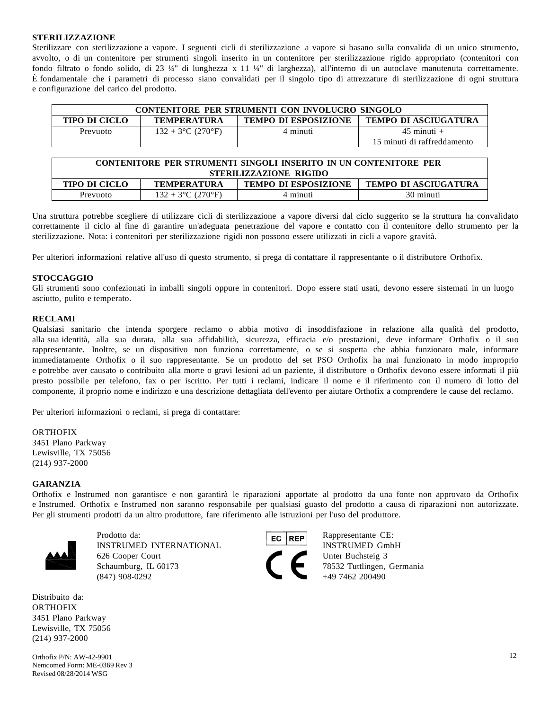#### **STERILIZZAZIONE**

Sterilizzare con sterilizzazione a vapore. I seguenti cicli di sterilizzazione a vapore si basano sulla convalida di un unico strumento, avvolto, o di un contenitore per strumenti singoli inserito in un contenitore per sterilizzazione rigido appropriato (contenitori con fondo filtrato o fondo solido, di 23 ¼" di lunghezza x 11 ¼" di larghezza), all'interno di un autoclave manutenuta correttamente. È fondamentale che i parametri di processo siano convalidati per il singolo tipo di attrezzature di sterilizzazione di ogni struttura e configurazione del carico del prodotto.

| CONTENITORE PER STRUMENTI CON INVOLUCRO SINGOLO                                                          |                      |          |                             |
|----------------------------------------------------------------------------------------------------------|----------------------|----------|-----------------------------|
| <b>TEMPO DI ESPOSIZIONE</b><br><b>TEMPO DI ASCIUGATURA</b><br><b>TIPO DI CICLO</b><br><b>TEMPERATURA</b> |                      |          |                             |
| Prevuoto                                                                                                 | $132 + 3$ °C (270°F) | 4 minuti | $45$ minuti $+$             |
|                                                                                                          |                      |          | 15 minuti di raffreddamento |

| CONTENITORE PER STRUMENTI SINGOLI INSERITO IN UN CONTENITORE PER                                         |  |  |  |  |
|----------------------------------------------------------------------------------------------------------|--|--|--|--|
| STERILIZZAZIONE RIGIDO                                                                                   |  |  |  |  |
| <b>TIPO DI CICLO</b><br><b>TEMPO DI ESPOSIZIONE</b><br><b>TEMPO DI ASCIUGATURA</b><br><b>TEMPERATURA</b> |  |  |  |  |
| 30 minuti<br>4 minuti<br>$132 + 3$ °C (270°F)<br>Prevuoto                                                |  |  |  |  |

Una struttura potrebbe scegliere di utilizzare cicli di sterilizzazione a vapore diversi dal ciclo suggerito se la struttura ha convalidato correttamente il ciclo al fine di garantire un'adeguata penetrazione del vapore e contatto con il contenitore dello strumento per la sterilizzazione. Nota: i contenitori per sterilizzazione rigidi non possono essere utilizzati in cicli a vapore gravità.

Per ulteriori informazioni relative all'uso di questo strumento, si prega di contattare il rappresentante o il distributore Orthofix.

#### **STOCCAGGIO**

Gli strumenti sono confezionati in imballi singoli oppure in contenitori. Dopo essere stati usati, devono essere sistemati in un luogo asciutto, pulito e temperato.

#### **RECLAMI**

Qualsiasi sanitario che intenda sporgere reclamo o abbia motivo di insoddisfazione in relazione alla qualità del prodotto, alla sua identità, alla sua durata, alla sua affidabilità, sicurezza, efficacia e/o prestazioni, deve informare Orthofix o il suo rappresentante. Inoltre, se un dispositivo non funziona correttamente, o se si sospetta che abbia funzionato male, informare immediatamente Orthofix o il suo rappresentante. Se un prodotto del set PSO Orthofix ha mai funzionato in modo improprio e potrebbe aver causato o contribuito alla morte o gravi lesioni ad un paziente, il distributore o Orthofix devono essere informati il più presto possibile per telefono, fax o per iscritto. Per tutti i reclami, indicare il nome e il riferimento con il numero di lotto del componente, il proprio nome e indirizzo e una descrizione dettagliata dell'evento per aiutare Orthofix a comprendere le cause del reclamo.

Per ulteriori informazioni o reclami, si prega di contattare:

ORTHOFIX 3451 Plano Parkway Lewisville, TX 75056 (214) 937-2000

#### **GARANZIA**

Orthofix e Instrumed non garantisce e non garantirà le riparazioni apportate al prodotto da una fonte non approvato da Orthofix e Instrumed. Orthofix e Instrumed non saranno responsabile per qualsiasi guasto del prodotto a causa di riparazioni non autorizzate. Per gli strumenti prodotti da un altro produttore, fare riferimento alle istruzioni per l'uso del produttore.



Prodotto da: **EC REP** Rappresentante CE: INSTRUMED INTERNATIONAL INSTRUMED GmbH 626 Cooper Court Unter Buchsteig 3 Schaumburg, IL 60173 78532 Tuttlingen, Germania  $(847)$  908-0292  $+49$  7462 200490

Distribuito da: **ORTHOFIX** 3451 Plano Parkway Lewisville, TX 75056 (214) 937-2000

**Orthofix P/N: AW-42-9901** 12 Nemcomed Form: ME-0369 Rev 3 Revised 08/28/2014 WSG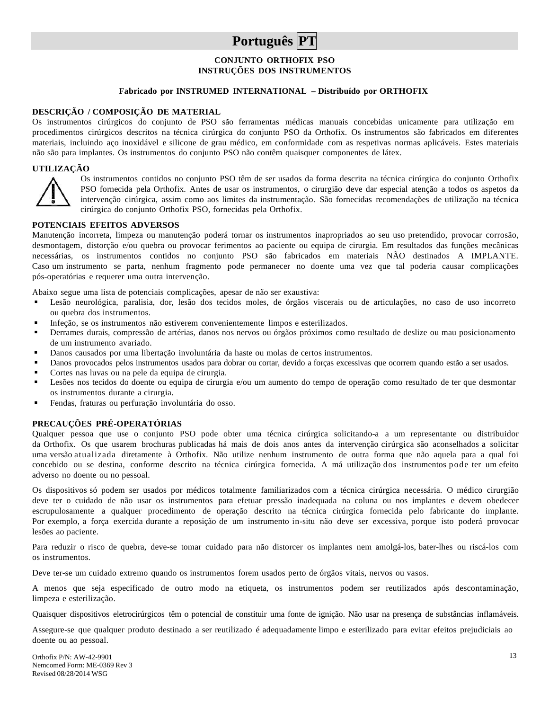## **Português PT**

### **CONJUNTO ORTHOFIX PSO INSTRUÇÕES DOS INSTRUMENTOS**

### **Fabricado por INSTRUMED INTERNATIONAL – Distribuído por ORTHOFIX**

#### **DESCRIÇÃO / COMPOSIÇÃO DE MATERIAL**

Os instrumentos cirúrgicos do conjunto de PSO são ferramentas médicas manuais concebidas unicamente para utilização em procedimentos cirúrgicos descritos na técnica cirúrgica do conjunto PSO da Orthofix. Os instrumentos são fabricados em diferentes materiais, incluindo aço inoxidável e silicone de grau médico, em conformidade com as respetivas normas aplicáveis. Estes materiais não são para implantes. Os instrumentos do conjunto PSO não contêm quaisquer componentes de látex.

#### **UTILIZAÇÃO**



Os instrumentos contidos no conjunto PSO têm de ser usados da forma descrita na técnica cirúrgica do conjunto Orthofix PSO fornecida pela Orthofix. Antes de usar os instrumentos, o cirurgião deve dar especial atenção a todos os aspetos da intervenção cirúrgica, assim como aos limites da instrumentação. São fornecidas recomendações de utilização na técnica cirúrgica do conjunto Orthofix PSO, fornecidas pela Orthofix.

#### **POTENCIAIS EFEITOS ADVERSOS**

Manutenção incorreta, limpeza ou manutenção poderá tornar os instrumentos inapropriados ao seu uso pretendido, provocar corrosão, desmontagem, distorção e/ou quebra ou provocar ferimentos ao paciente ou equipa de cirurgia. Em resultados das funções mecânicas necessárias, os instrumentos contidos no conjunto PSO são fabricados em materiais NÃO destinados A IMPLANTE. Caso um instrumento se parta, nenhum fragmento pode permanecer no doente uma vez que tal poderia causar complicações pós-operatórias e requerer uma outra intervenção.

Abaixo segue uma lista de potenciais complicações, apesar de não ser exaustiva:

- Lesão neurológica, paralisia, dor, lesão dos tecidos moles, de órgãos viscerais ou de articulações, no caso de uso incorreto ou quebra dos instrumentos.
- Infeção, se os instrumentos não estiverem convenientemente limpos e esterilizados.
- Derrames durais, compressão de artérias, danos nos nervos ou órgãos próximos como resultado de deslize ou mau posicionamento de um instrumento avariado.
- Danos causados por uma libertação involuntária da haste ou molas de certos instrumentos.
- Danos provocados pelos instrumentos usados para dobrar ou cortar, devido a forças excessivas que ocorrem quando estão a ser usados.
- Cortes nas luvas ou na pele da equipa de cirurgia.
- Lesões nos tecidos do doente ou equipa de cirurgia e/ou um aumento do tempo de operação como resultado de ter que desmontar os instrumentos durante a cirurgia.
- Fendas, fraturas ou perfuração involuntária do osso.

## **PRECAUÇÕES PRÉ-OPERATÓRIAS**

Qualquer pessoa que use o conjunto PSO pode obter uma técnica cirúrgica solicitando-a a um representante ou distribuidor da Orthofix. Os que usarem brochuras publicadas há mais de dois anos antes da intervenção cirúrgica são aconselhados a solicitar uma versão atualizada diretamente à Orthofix. Não utilize nenhum instrumento de outra forma que não aquela para a qual foi concebido ou se destina, conforme descrito na técnica cirúrgica fornecida. A má utilização dos instrumentos pode ter um efeito adverso no doente ou no pessoal.

Os dispositivos só podem ser usados por médicos totalmente familiarizados com a técnica cirúrgica necessária. O médico cirurgião deve ter o cuidado de não usar os instrumentos para efetuar pressão inadequada na coluna ou nos implantes e devem obedecer escrupulosamente a qualquer procedimento de operação descrito na técnica cirúrgica fornecida pelo fabricante do implante. Por exemplo, a força exercida durante a reposição de um instrumento in-situ não deve ser excessiva, porque isto poderá provocar lesões ao paciente.

Para reduzir o risco de quebra, deve-se tomar cuidado para não distorcer os implantes nem amolgá-los, bater-lhes ou riscá-los com os instrumentos.

Deve ter-se um cuidado extremo quando os instrumentos forem usados perto de órgãos vitais, nervos ou vasos.

A menos que seja especificado de outro modo na etiqueta, os instrumentos podem ser reutilizados após descontaminação, limpeza e esterilização.

Quaisquer dispositivos eletrocirúrgicos têm o potencial de constituir uma fonte de ignição. Não usar na presença de substâncias inflamáveis.

Assegure-se que qualquer produto destinado a ser reutilizado é adequadamente limpo e esterilizado para evitar efeitos prejudiciais ao doente ou ao pessoal.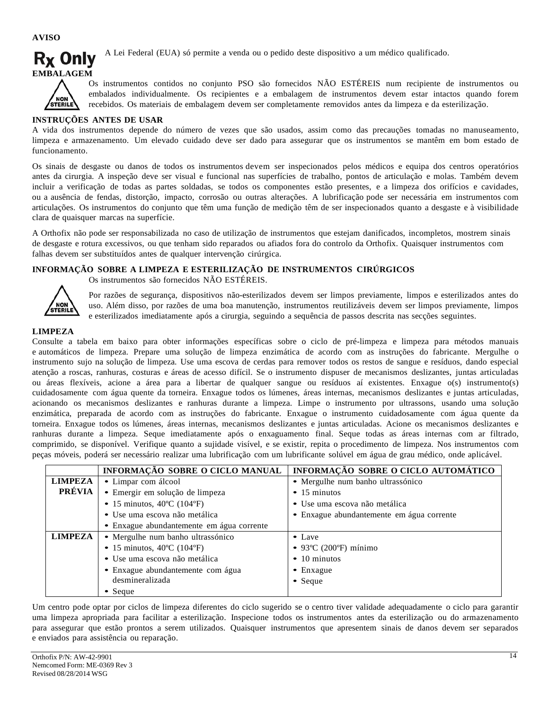**AVISO**



A Lei Federal (EUA) só permite a venda ou o pedido deste dispositivo a um médico qualificado.



Os instrumentos contidos no conjunto PSO são fornecidos NÃO ESTÉREIS num recipiente de instrumentos ou embalados individualmente. Os recipientes e a embalagem de instrumentos devem estar intactos quando forem recebidos. Os materiais de embalagem devem ser completamente removidos antes da limpeza e da esterilização.

## **INSTRUÇÕES ANTES DE USAR**

A vida dos instrumentos depende do número de vezes que são usados, assim como das precauções tomadas no manuseamento, limpeza e armazenamento. Um elevado cuidado deve ser dado para assegurar que os instrumentos se mantêm em bom estado de funcionamento.

Os sinais de desgaste ou danos de todos os instrumentos devem ser inspecionados pelos médicos e equipa dos centros operatórios antes da cirurgia. A inspeção deve ser visual e funcional nas superfícies de trabalho, pontos de articulação e molas. Também devem incluir a verificação de todas as partes soldadas, se todos os componentes estão presentes, e a limpeza dos orifícios e cavidades, ou a ausência de fendas, distorção, impacto, corrosão ou outras alterações. A lubrificação pode ser necessária em instrumentos com articulações. Os instrumentos do conjunto que têm uma função de medição têm de ser inspecionados quanto a desgaste e à visibilidade clara de quaisquer marcas na superfície.

A Orthofix não pode ser responsabilizada no caso de utilização de instrumentos que estejam danificados, incompletos, mostrem sinais de desgaste e rotura excessivos, ou que tenham sido reparados ou afiados fora do controlo da Orthofix. Quaisquer instrumentos com falhas devem ser substituídos antes de qualquer intervenção cirúrgica.

## **INFORMAÇÃO SOBRE A LIMPEZA E ESTERILIZAÇÃO DE INSTRUMENTOS CIRÚRGICOS**

Os instrumentos são fornecidos NÃO ESTÉREIS. NON

Por razões de segurança, dispositivos não-esterilizados devem ser limpos previamente, limpos e esterilizados antes do uso. Além disso, por razões de uma boa manutenção, instrumentos reutilizáveis devem ser limpos previamente, limpos e esterilizados imediatamente após a cirurgia, seguindo a sequência de passos descrita nas secções seguintes.

## **LIMPEZA**

Consulte a tabela em baixo para obter informações específicas sobre o ciclo de pré-limpeza e limpeza para métodos manuais e automáticos de limpeza. Prepare uma solução de limpeza enzimática de acordo com as instruções do fabricante. Mergulhe o instrumento sujo na solução de limpeza. Use uma escova de cerdas para remover todos os restos de sangue e resíduos, dando especial atenção a roscas, ranhuras, costuras e áreas de acesso difícil. Se o instrumento dispuser de mecanismos deslizantes, juntas articuladas ou áreas flexíveis, acione a área para a libertar de qualquer sangue ou resíduos aí existentes. Enxague o(s) instrumento(s) cuidadosamente com água quente da torneira. Enxague todos os lúmenes, áreas internas, mecanismos deslizantes e juntas articuladas, acionando os mecanismos deslizantes e ranhuras durante a limpeza. Limpe o instrumento por ultrassons, usando uma solução enzimática, preparada de acordo com as instruções do fabricante. Enxague o instrumento cuidadosamente com água quente da torneira. Enxague todos os lúmenes, áreas internas, mecanismos deslizantes e juntas articuladas. Acione os mecanismos deslizantes e ranhuras durante a limpeza. Seque imediatamente após o enxaguamento final. Seque todas as áreas internas com ar filtrado, comprimido, se disponível. Verifique quanto a sujidade visível, e se existir, repita o procedimento de limpeza. Nos instrumentos com peças móveis, poderá ser necessário realizar uma lubrificação com um lubrificante solúvel em água de grau médico, onde aplicável.

|                | INFORMAÇÃO SOBRE O CICLO MANUAL                 | INFORMAÇÃO SOBRE O CICLO AUTOMÁTICO       |
|----------------|-------------------------------------------------|-------------------------------------------|
| <b>LIMPEZA</b> | • Limpar com álcool                             | · Mergulhe num banho ultrassónico         |
| PRÉVIA         | · Emergir em solução de limpeza                 | $\bullet$ 15 minutos                      |
|                | • 15 minutos, $40^{\circ}$ C (104 $^{\circ}$ F) | • Use uma escova não metálica             |
|                | · Use uma escova não metálica                   | • Enxague abundantemente em água corrente |
|                | • Enxague abundantemente em água corrente       |                                           |
| <b>LIMPEZA</b> | • Mergulhe num banho ultrassónico               | $\bullet$ Lave                            |
|                | • 15 minutos, $40^{\circ}$ C (104 $^{\circ}$ F) | $\bullet$ 93°C (200°F) mínimo             |
|                | · Use uma escova não metálica                   | $\bullet$ 10 minutos                      |
|                | • Enxague abundantemente com água               | $\bullet$ Enxague                         |
|                | desmineralizada                                 | $\bullet$ Seque                           |
|                | $\bullet$ Seque                                 |                                           |

Um centro pode optar por ciclos de limpeza diferentes do ciclo sugerido se o centro tiver validade adequadamente o ciclo para garantir uma limpeza apropriada para facilitar a esterilização. Inspecione todos os instrumentos antes da esterilização ou do armazenamento para assegurar que estão prontos a serem utilizados. Quaisquer instrumentos que apresentem sinais de danos devem ser separados e enviados para assistência ou reparação.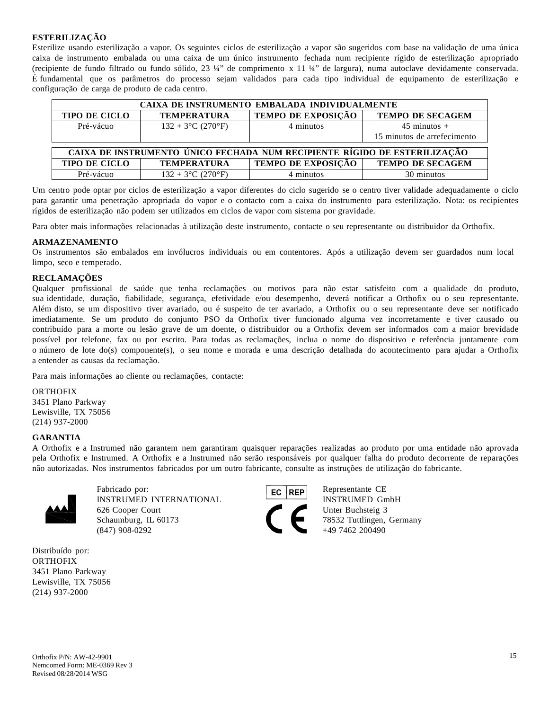## **ESTERILIZAÇÃO**

Esterilize usando esterilização a vapor. Os seguintes ciclos de esterilização a vapor são sugeridos com base na validação de uma única caixa de instrumento embalada ou uma caixa de um único instrumento fechada num recipiente rígido de esterilização apropriado (recipiente de fundo filtrado ou fundo sólido, 23 ¼" de comprimento x 11 ¼" de largura), numa autoclave devidamente conservada. É fundamental que os parâmetros do processo sejam validados para cada tipo individual de equipamento de esterilização e configuração de carga de produto de cada centro.

| CAIXA DE INSTRUMENTO EMBALADA INDIVIDUALMENTE                             |                      |                           |                             |  |
|---------------------------------------------------------------------------|----------------------|---------------------------|-----------------------------|--|
| <b>TIPO DE CICLO</b>                                                      | <b>TEMPERATURA</b>   | <b>TEMPO DE EXPOSIÇÃO</b> | <b>TEMPO DE SECAGEM</b>     |  |
| Pré-vácuo                                                                 | $132 + 3$ °C (270°F) | 4 minutos                 | $45$ minutos $+$            |  |
|                                                                           |                      |                           | 15 minutos de arrefecimento |  |
|                                                                           |                      |                           |                             |  |
| CAIXA DE INSTRUMENTO ÚNICO FECHADA NUM RECIPIENTE RÍGIDO DE ESTERILIZAÇÃO |                      |                           |                             |  |
| <b>TIPO DE CICLO</b>                                                      | <b>TEMPERATURA</b>   | TEMPO DE EXPOSIÇÃO        | <b>TEMPO DE SECAGEM</b>     |  |
| Pré-vácuo                                                                 | $132 + 3$ °C (270°F) | 4 minutos                 | 30 minutos                  |  |

Um centro pode optar por ciclos de esterilização a vapor diferentes do ciclo sugerido se o centro tiver validade adequadamente o ciclo para garantir uma penetração apropriada do vapor e o contacto com a caixa do instrumento para esterilização. Nota: os recipientes rígidos de esterilização não podem ser utilizados em ciclos de vapor com sistema por gravidade.

Para obter mais informações relacionadas à utilização deste instrumento, contacte o seu representante ou distribuidor da Orthofix.

#### **ARMAZENAMENTO**

Os instrumentos são embalados em invólucros individuais ou em contentores. Após a utilização devem ser guardados num local limpo, seco e temperado.

#### **RECLAMAÇÕES**

Qualquer profissional de saúde que tenha reclamações ou motivos para não estar satisfeito com a qualidade do produto, sua identidade, duração, fiabilidade, segurança, efetividade e/ou desempenho, deverá notificar a Orthofix ou o seu representante. Além disto, se um dispositivo tiver avariado, ou é suspeito de ter avariado, a Orthofix ou o seu representante deve ser notificado imediatamente. Se um produto do conjunto PSO da Orthofix tiver funcionado alguma vez incorretamente e tiver causado ou contribuído para a morte ou lesão grave de um doente, o distribuidor ou a Orthofix devem ser informados com a maior brevidade possível por telefone, fax ou por escrito. Para todas as reclamações, inclua o nome do dispositivo e referência juntamente com o número de lote do(s) componente(s), o seu nome e morada e uma descrição detalhada do acontecimento para ajudar a Orthofix a entender as causas da reclamação.

Para mais informações ao cliente ou reclamações, contacte:

**ORTHOFIX** 3451 Plano Parkway Lewisville, TX 75056 (214) 937-2000

#### **GARANTIA**

A Orthofix e a Instrumed não garantem nem garantiram quaisquer reparações realizadas ao produto por uma entidade não aprovada pela Orthofix e Instrumed. A Orthofix e a Instrumed não serão responsáveis por qualquer falha do produto decorrente de reparações não autorizadas. Nos instrumentos fabricados por um outro fabricante, consulte as instruções de utilização do fabricante.



Fabricado por: EC REP Representante CE INSTRUMED INTERNATIONAL INSTRUMED GmbH<br>626 Cooper Court<br>Schaumburg, IL 60173 78532 Tuttlingen, Ger 626 Cooper Court Unter Buchsteig 3 Schaumburg, IL 60173 78532 Tuttlingen, Germany  $(847)$  908-0292  $+49$  7462 200490

Distribuído por: **ORTHOFIX** 3451 Plano Parkway Lewisville, TX 75056 (214) 937-2000

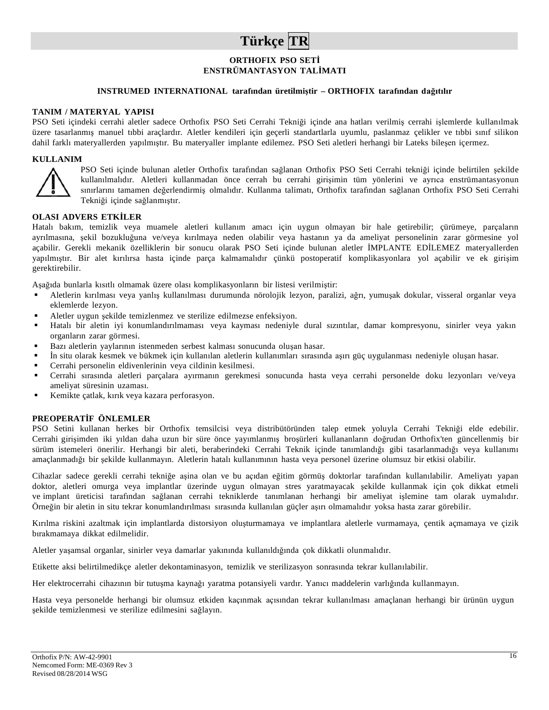# **Türkçe TR**

## **ORTHOFIX PSO SETİ ENSTRÜMANTASYON TALİMATI**

### **INSTRUMED INTERNATIONAL tarafından üretilmiştir – ORTHOFIX tarafından dağıtılır**

#### **TANIM / MATERYAL YAPISI**

PSO Seti içindeki cerrahi aletler sadece Orthofix PSO Seti Cerrahi Tekniği içinde ana hatları verilmiş cerrahi işlemlerde kullanılmak üzere tasarlanmış manuel tıbbi araçlardır. Aletler kendileri için geçerli standartlarla uyumlu, paslanmaz çelikler ve tıbbi sınıf silikon dahil farklı materyallerden yapılmıştır. Bu materyaller implante edilemez. PSO Seti aletleri herhangi bir Lateks bileşen içermez.

#### **KULLANIM**



PSO Seti içinde bulunan aletler Orthofix tarafından sağlanan Orthofix PSO Seti Cerrahi tekniği içinde belirtilen şekilde kullanılmalıdır. Aletleri kullanmadan önce cerrah bu cerrahi girişimin tüm yönlerini ve ayrıca enstrümantasyonun sınırlarını tamamen değerlendirmiş olmalıdır. Kullanma talimatı, Orthofix tarafından sağlanan Orthofix PSO Seti Cerrahi Tekniği içinde sağlanmıştır.

## **OLASI ADVERS ETKİLER**

Hatalı bakım, temizlik veya muamele aletleri kullanım amacı için uygun olmayan bir hale getirebilir; çürümeye, parçaların ayrılmasına, şekil bozukluğuna ve/veya kırılmaya neden olabilir veya hastanın ya da ameliyat personelinin zarar görmesine yol açabilir. Gerekli mekanik özelliklerin bir sonucu olarak PSO Seti içinde bulunan aletler İMPLANTE EDİLEMEZ materyallerden yapılmıştır. Bir alet kırılırsa hasta içinde parça kalmamalıdır çünkü postoperatif komplikasyonlara yol açabilir ve ek girişim gerektirebilir.

Aşağıda bunlarla kısıtlı olmamak üzere olası komplikasyonların bir listesi verilmiştir:

- Aletlerin kırılması veya yanlış kullanılması durumunda nörolojik lezyon, paralizi, ağrı, yumuşak dokular, visseral organlar veya eklemlerde lezyon.
- Aletler uygun şekilde temizlenmez ve sterilize edilmezse enfeksiyon.
- Hatalı bir aletin iyi konumlandırılmaması veya kayması nedeniyle dural sızıntılar, damar kompresyonu, sinirler veya yakın organların zarar görmesi.
- Bazı aletlerin yaylarının istenmeden serbest kalması sonucunda oluşan hasar.
- İn situ olarak kesmek ve bükmek için kullanılan aletlerin kullanımları sırasında aşırı güç uygulanması nedeniyle oluşan hasar.
- Cerrahi personelin eldivenlerinin veya cildinin kesilmesi.
- Cerrahi sırasında aletleri parçalara ayırmanın gerekmesi sonucunda hasta veya cerrahi personelde doku lezyonları ve/veya ameliyat süresinin uzaması.
- Kemikte çatlak, kırık veya kazara perforasyon.

#### **PREOPERATİF ÖNLEMLER**

PSO Setini kullanan herkes bir Orthofix temsilcisi veya distribütöründen talep etmek yoluyla Cerrahi Tekniği elde edebilir. Cerrahi girişimden iki yıldan daha uzun bir süre önce yayımlanmış broşürleri kullananların doğrudan Orthofix'ten güncellenmiş bir sürüm istemeleri önerilir. Herhangi bir aleti, beraberindeki Cerrahi Teknik içinde tanımlandığı gibi tasarlanmadığı veya kullanımı amaçlanmadığı bir şekilde kullanmayın. Aletlerin hatalı kullanımının hasta veya personel üzerine olumsuz bir etkisi olabilir.

Cihazlar sadece gerekli cerrahi tekniğe aşina olan ve bu açıdan eğitim görmüş doktorlar tarafından kullanılabilir. Ameliyatı yapan doktor, aletleri omurga veya implantlar üzerinde uygun olmayan stres yaratmayacak şekilde kullanmak için çok dikkat etmeli ve implant üreticisi tarafından sağlanan cerrahi tekniklerde tanımlanan herhangi bir ameliyat işlemine tam olarak uymalıdır. Örneğin bir aletin in situ tekrar konumlandırılması sırasında kullanılan güçler aşırı olmamalıdır yoksa hasta zarar görebilir.

Kırılma riskini azaltmak için implantlarda distorsiyon oluşturmamaya ve implantlara aletlerle vurmamaya, çentik açmamaya ve çizik bırakmamaya dikkat edilmelidir.

Aletler yaşamsal organlar, sinirler veya damarlar yakınında kullanıldığında çok dikkatli olunmalıdır.

Etikette aksi belirtilmedikçe aletler dekontaminasyon, temizlik ve sterilizasyon sonrasında tekrar kullanılabilir.

Her elektrocerrahi cihazının bir tutuşma kaynağı yaratma potansiyeli vardır. Yanıcı maddelerin varlığında kullanmayın.

Hasta veya personelde herhangi bir olumsuz etkiden kaçınmak açısından tekrar kullanılması amaçlanan herhangi bir ürünün uygun şekilde temizlenmesi ve sterilize edilmesini sağlayın.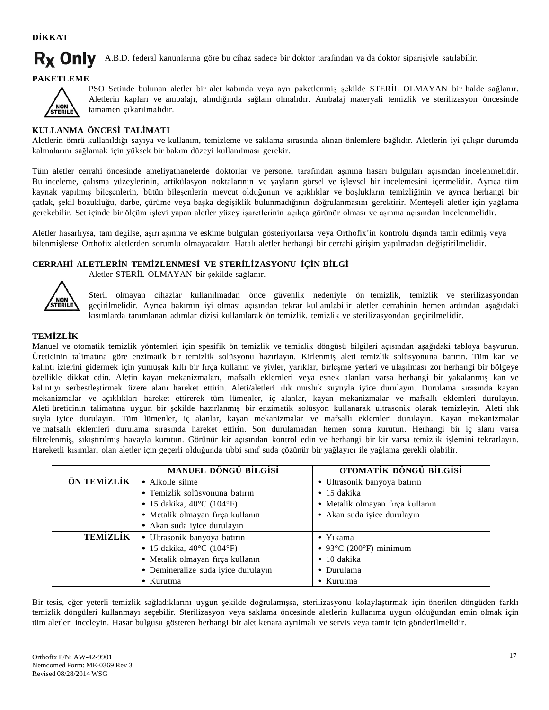**DİKKAT**

#### R<sub>x</sub> Only A.B.D. federal kanunlarına göre bu cihaz sadece bir doktor tarafından ya da doktor siparişiyle satılabilir.

**PAKETLEME**



PSO Setinde bulunan aletler bir alet kabında veya ayrı paketlenmiş şekilde STERİL OLMAYAN bir halde sağlanır. Aletlerin kapları ve ambalajı, alındığında sağlam olmalıdır. Ambalaj materyali temizlik ve sterilizasyon öncesinde tamamen çıkarılmalıdır.

## **KULLANMA ÖNCESİ TALİMATI**

Aletlerin ömrü kullanıldığı sayıya ve kullanım, temizleme ve saklama sırasında alınan önlemlere bağlıdır. Aletlerin iyi çalışır durumda kalmalarını sağlamak için yüksek bir bakım düzeyi kullanılması gerekir.

Tüm aletler cerrahi öncesinde ameliyathanelerde doktorlar ve personel tarafından aşınma hasarı bulguları açısından incelenmelidir. Bu inceleme, çalışma yüzeylerinin, artikülasyon noktalarının ve yayların görsel ve işlevsel bir incelemesini içermelidir. Ayrıca tüm kaynak yapılmış bileşenlerin, bütün bileşenlerin mevcut olduğunun ve açıklıklar ve boşlukların temizliğinin ve ayrıca herhangi bir çatlak, şekil bozukluğu, darbe, çürüme veya başka değişiklik bulunmadığının doğrulanmasını gerektirir. Menteşeli aletler için yağlama gerekebilir. Set içinde bir ölçüm işlevi yapan aletler yüzey işaretlerinin açıkça görünür olması ve aşınma açısından incelenmelidir.

Aletler hasarlıysa, tam değilse, aşırı aşınma ve eskime bulguları gösteriyorlarsa veya Orthofix'in kontrolü dışında tamir edilmiş veya bilenmişlerse Orthofix aletlerden sorumlu olmayacaktır. Hatalı aletler herhangi bir cerrahi girişim yapılmadan değiştirilmelidir.

## **CERRAHİ ALETLERİN TEMİZLENMESİ VE STERİLİZASYONU İÇİN BİLGİ**

Aletler STERİL OLMAYAN bir şekilde sağlanır.



Steril olmayan cihazlar kullanılmadan önce güvenlik nedeniyle ön temizlik, temizlik ve sterilizasyondan geçirilmelidir. Ayrıca bakımın iyi olması açısından tekrar kullanılabilir aletler cerrahinin hemen ardından aşağıdaki kısımlarda tanımlanan adımlar dizisi kullanılarak ön temizlik, temizlik ve sterilizasyondan geçirilmelidir.

## **TEMİZLİK**

Manuel ve otomatik temizlik yöntemleri için spesifik ön temizlik ve temizlik döngüsü bilgileri açısından aşağıdaki tabloya başvurun. Üreticinin talimatına göre enzimatik bir temizlik solüsyonu hazırlayın. Kirlenmiş aleti temizlik solüsyonuna batırın. Tüm kan ve kalıntı izlerini gidermek için yumuşak kıllı bir fırça kullanın ve yivler, yarıklar, birleşme yerleri ve ulaşılması zor herhangi bir bölgeye özellikle dikkat edin. Aletin kayan mekanizmaları, mafsallı eklemleri veya esnek alanları varsa herhangi bir yakalanmış kan ve kalıntıyı serbestleştirmek üzere alanı hareket ettirin. Aleti/aletleri ılık musluk suyuyla iyice durulayın. Durulama sırasında kayan mekanizmalar ve açıklıkları hareket ettirerek tüm lümenler, iç alanlar, kayan mekanizmalar ve mafsallı eklemleri durulayın. Aleti üreticinin talimatına uygun bir şekilde hazırlanmış bir enzimatik solüsyon kullanarak ultrasonik olarak temizleyin. Aleti ılık suyla iyice durulayın. Tüm lümenler, iç alanlar, kayan mekanizmalar ve mafsallı eklemleri durulayın. Kayan mekanizmalar ve mafsallı eklemleri durulama sırasında hareket ettirin. Son durulamadan hemen sonra kurutun. Herhangi bir iç alanı varsa filtrelenmiş, sıkıştırılmış havayla kurutun. Görünür kir açısından kontrol edin ve herhangi bir kir varsa temizlik işlemini tekrarlayın. Hareketli kısımları olan aletler için geçerli olduğunda tıbbi sınıf suda çözünür bir yağlayıcı ile yağlama gerekli olabilir.

|                 | MANUEL DÖNGÜ BİLGİSİ                | OTOMATİK DÖNGÜ BİLGİSİ                     |
|-----------------|-------------------------------------|--------------------------------------------|
| ÖN TEMİZLİK     | $\bullet$ Alkolle silme             | · Ultrasonik banyoya batırın               |
|                 | · Temizlik solüsyonuna batırın      | $\bullet$ 15 dakika                        |
|                 | • 15 dakika, $40^{\circ}$ C (104°F) | • Metalik olmayan firça kullanın           |
|                 | · Metalik olmayan fırça kullanın    | • Akan suda iyice durulayın                |
|                 | • Akan suda iyice durulayın         |                                            |
| <b>TEMİZLİK</b> | · Ultrasonik banyoya batırın        | $\bullet$ Y <sub>1</sub> kama              |
|                 | • 15 dakika, $40^{\circ}$ C (104°F) | • 93 $\degree$ C (200 $\degree$ F) minimum |
|                 | • Metalik olmayan firça kullanın    | $\bullet$ 10 dakika                        |
|                 | • Demineralize suda iyice durulayın | • Durulama                                 |
|                 | • Kurutma                           | • Kurutma                                  |

Bir tesis, eğer yeterli temizlik sağladıklarını uygun şekilde doğrulamışsa, sterilizasyonu kolaylaştırmak için önerilen döngüden farklı temizlik döngüleri kullanmayı seçebilir. Sterilizasyon veya saklama öncesinde aletlerin kullanıma uygun olduğundan emin olmak için tüm aletleri inceleyin. Hasar bulgusu gösteren herhangi bir alet kenara ayrılmalı ve servis veya tamir için gönderilmelidir.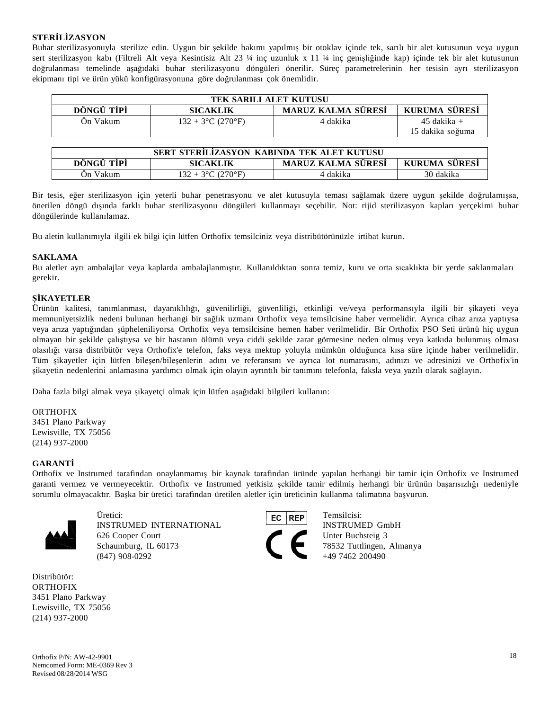## **STERİLİZASYON**

Buhar sterilizasyonuyla sterilize edin. Uygun bir şekilde bakımı yapılmış bir otoklav içinde tek, sarılı bir alet kutusunun veya uygun sert sterilizasyon kabı (Filtreli Alt veya Kesintisiz Alt 23 ¼ inç uzunluk x 11 ¼ inç genişliğinde kap) içinde tek bir alet kutusunun doğrulanması temelinde aşağıdaki buhar sterilizasyonu döngüleri önerilir. Süreç parametrelerinin her tesisin ayrı sterilizasyon ekipmanı tipi ve ürün yükü konfigürasyonuna göre doğrulanması çok önemlidir.

| <b>TEK SARILI ALET KUTUSU</b>                                        |                      |          |                  |  |
|----------------------------------------------------------------------|----------------------|----------|------------------|--|
| DÖNGÜ TİPİ<br>MARUZ KALMA SÜRESİ<br>KURUMA SÜRESİ<br><b>SICAKLIK</b> |                      |          |                  |  |
| Ön Vakum                                                             | $132 + 3$ °C (270°F) | 4 dakika | $45$ dakika +    |  |
|                                                                      |                      |          | 15 dakika soğuma |  |

| SERT STERILIZASYON KABINDA TEK ALET KUTUSU                           |                      |          |           |  |
|----------------------------------------------------------------------|----------------------|----------|-----------|--|
| MARUZ KALMA SÜRESİ<br>DONGU TIPI<br><b>KURUMA SURESI</b><br>SICAKLIK |                      |          |           |  |
| On Vakum                                                             | $132 + 3$ °C (270°F) | 4 dakika | 30 dakika |  |

Bir tesis, eğer sterilizasyon için yeterli buhar penetrasyonu ve alet kutusuyla teması sağlamak üzere uygun şekilde doğrulamışsa, önerilen döngü dışında farklı buhar sterilizasyonu döngüleri kullanmayı seçebilir. Not: rijid sterilizasyon kapları yerçekimi buhar döngülerinde kullanılamaz.

Bu aletin kullanımıyla ilgili ek bilgi için lütfen Orthofix temsilciniz veya distribütörünüzle irtibat kurun.

## **SAKLAMA**

Bu aletler ayrı ambalajlar veya kaplarda ambalajlanmıştır. Kullanıldıktan sonra temiz, kuru ve orta sıcaklıkta bir yerde saklanmaları gerekir.

## **ŞİKAYETLER**

Ürünün kalitesi, tanımlanması, dayanıklılığı, güvenilirliği, güvenliliği, etkinliği ve/veya performansıyla ilgili bir şikayeti veya memnuniyetsizlik nedeni bulunan herhangi bir sağlık uzmanı Orthofix veya temsilcisine haber vermelidir. Ayrıca cihaz arıza yaptıysa veya arıza yaptığından şüpheleniliyorsa Orthofix veya temsilcisine hemen haber verilmelidir. Bir Orthofix PSO Seti ürünü hiç uygun olmayan bir şekilde çalıştıysa ve bir hastanın ölümü veya ciddi şekilde zarar görmesine neden olmuş veya katkıda bulunmuş olması olasılığı varsa distribütör veya Orthofix'e telefon, faks veya mektup yoluyla mümkün olduğunca kısa süre içinde haber verilmelidir. Tüm şikayetler için lütfen bileşen/bileşenlerin adını ve referansını ve ayrıca lot numarasını, adınızı ve adresinizi ve Orthofix'in şikayetin nedenlerini anlamasına yardımcı olmak için olayın ayrıntılı bir tanımını telefonla, faksla veya yazılı olarak sağlayın.

Daha fazla bilgi almak veya şikayetçi olmak için lütfen aşağıdaki bilgileri kullanın:

## ORTHOFIX

3451 Plano Parkway Lewisville, TX 75056 (214) 937-2000

## **GARANTİ**

Orthofix ve Instrumed tarafından onaylanmamış bir kaynak tarafından üründe yapılan herhangi bir tamir için Orthofix ve Instrumed garanti vermez ve vermeyecektir. Orthofix ve Instrumed yetkisiz şekilde tamir edilmiş herhangi bir ürünün başarısızlığı nedeniyle sorumlu olmayacaktır. Başka bir üretici tarafından üretilen aletler için üreticinin kullanma talimatına başvurun.



INSTRUMED INTERNATIONAL INSTRUMED GmbH 626 Cooper Court Unter Buchsteig 3 Schaumburg, IL 60173 78532 Tuttlingen, Almanya  $(847)$  908-0292  $+49$  7462 200490



Distribütör: ORTHOFIX 3451 Plano Parkway Lewisville, TX 75056 (214) 937-2000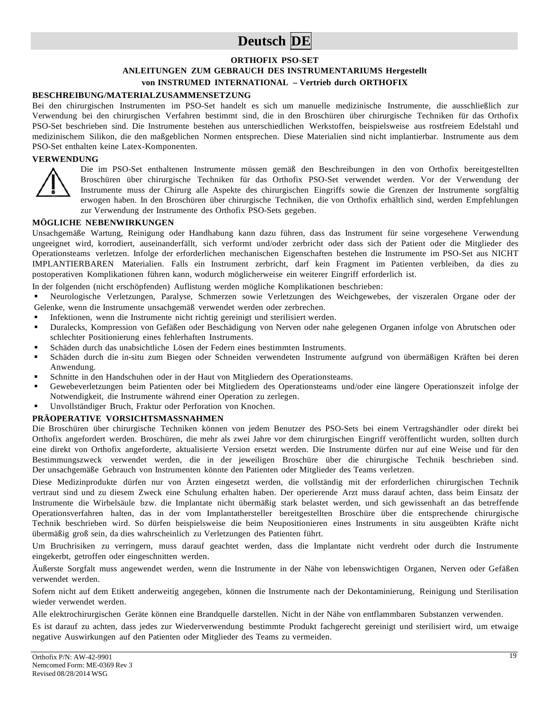# **Deutsch DE**

## **ORTHOFIX PSO-SET ANLEITUNGEN ZUM GEBRAUCH DES INSTRUMENTARIUMS Hergestellt von INSTRUMED INTERNATIONAL – Vertrieb durch ORTHOFIX**

#### **BESCHREIBUNG/MATERIALZUSAMMENSETZUNG**

Bei den chirurgischen Instrumenten im PSO-Set handelt es sich um manuelle medizinische Instrumente, die ausschließlich zur Verwendung bei den chirurgischen Verfahren bestimmt sind, die in den Broschüren über chirurgische Techniken für das Orthofix PSO-Set beschrieben sind. Die Instrumente bestehen aus unterschiedlichen Werkstoffen, beispielsweise aus rostfreiem Edelstahl und medizinischem Silikon, die den maßgeblichen Normen entsprechen. Diese Materialien sind nicht implantierbar. Instrumente aus dem PSO-Set enthalten keine Latex-Komponenten.

#### **VERWENDUNG**



Die im PSO-Set enthaltenen Instrumente müssen gemäß den Beschreibungen in den von Orthofix bereitgestellten Broschüren über chirurgische Techniken für das Orthofix PSO-Set verwendet werden. Vor der Verwendung der Instrumente muss der Chirurg alle Aspekte des chirurgischen Eingriffs sowie die Grenzen der Instrumente sorgfältig erwogen haben. In den Broschüren über chirurgische Techniken, die von Orthofix erhältlich sind, werden Empfehlungen zur Verwendung der Instrumente des Orthofix PSO-Sets gegeben.

#### **MÖGLICHE NEBENWIRKUNGEN**

Unsachgemäße Wartung, Reinigung oder Handhabung kann dazu führen, dass das Instrument für seine vorgesehene Verwendung ungeeignet wird, korrodiert, auseinanderfällt, sich verformt und/oder zerbricht oder dass sich der Patient oder die Mitglieder des Operationsteams verletzen. Infolge der erforderlichen mechanischen Eigenschaften bestehen die Instrumente im PSO-Set aus NICHT IMPLANTIERBAREN Materialien. Falls ein Instrument zerbricht, darf kein Fragment im Patienten verbleiben, da dies zu postoperativen Komplikationen führen kann, wodurch möglicherweise ein weiterer Eingriff erforderlich ist.

In der folgenden (nicht erschöpfenden) Auflistung werden mögliche Komplikationen beschrieben:

 Neurologische Verletzungen, Paralyse, Schmerzen sowie Verletzungen des Weichgewebes, der viszeralen Organe oder der Gelenke, wenn die Instrumente unsachgemäß verwendet werden oder zerbrechen.

- Infektionen, wenn die Instrumente nicht richtig gereinigt und sterilisiert werden.
- Duralecks, Kompression von Gefäßen oder Beschädigung von Nerven oder nahe gelegenen Organen infolge von Abrutschen oder schlechter Positionierung eines fehlerhaften Instruments.
- Schäden durch das unabsichtliche Lösen der Federn eines bestimmten Instruments.
- Schäden durch die in-situ zum Biegen oder Schneiden verwendeten Instrumente aufgrund von übermäßigen Kräften bei deren Anwendung.
- Schnitte in den Handschuhen oder in der Haut von Mitgliedern des Operationsteams.
- Gewebeverletzungen beim Patienten oder bei Mitgliedern des Operationsteams und/oder eine längere Operationszeit infolge der Notwendigkeit, die Instrumente während einer Operation zu zerlegen.
- Unvollständiger Bruch, Fraktur oder Perforation von Knochen.

## **PRÄOPERATIVE VORSICHTSMASSNAHMEN**

Die Broschüren über chirurgische Techniken können von jedem Benutzer des PSO-Sets bei einem Vertragshändler oder direkt bei Orthofix angefordert werden. Broschüren, die mehr als zwei Jahre vor dem chirurgischen Eingriff veröffentlicht wurden, sollten durch eine direkt von Orthofix angeforderte, aktualisierte Version ersetzt werden. Die Instrumente dürfen nur auf eine Weise und für den Bestimmungszweck verwendet werden, die in der jeweiligen Broschüre über die chirurgische Technik beschrieben sind. Der unsachgemäße Gebrauch von Instrumenten könnte den Patienten oder Mitglieder des Teams verletzen.

Diese Medizinprodukte dürfen nur von Ärzten eingesetzt werden, die vollständig mit der erforderlichen chirurgischen Technik vertraut sind und zu diesem Zweck eine Schulung erhalten haben. Der operierende Arzt muss darauf achten, dass beim Einsatz der Instrumente die Wirbelsäule bzw. die Implantate nicht übermäßig stark belastet werden, und sich gewissenhaft an das betreffende Operationsverfahren halten, das in der vom Implantathersteller bereitgestellten Broschüre über die entsprechende chirurgische Technik beschrieben wird. So dürfen beispielsweise die beim Neupositionieren eines Instruments in situ ausgeübten Kräfte nicht übermäßig groß sein, da dies wahrscheinlich zu Verletzungen des Patienten führt.

Um Bruchrisiken zu verringern, muss darauf geachtet werden, dass die Implantate nicht verdreht oder durch die Instrumente eingekerbt, getroffen oder eingeschnitten werden.

Äußerste Sorgfalt muss angewendet werden, wenn die Instrumente in der Nähe von lebenswichtigen Organen, Nerven oder Gefäßen verwendet werden.

Sofern nicht auf dem Etikett anderweitig angegeben, können die Instrumente nach der Dekontaminierung, Reinigung und Sterilisation wieder verwendet werden.

Alle elektrochirurgischen Geräte können eine Brandquelle darstellen. Nicht in der Nähe von entflammbaren Substanzen verwenden.

Es ist darauf zu achten, dass jedes zur Wiederverwendung bestimmte Produkt fachgerecht gereinigt und sterilisiert wird, um etwaige negative Auswirkungen auf den Patienten oder Mitglieder des Teams zu vermeiden.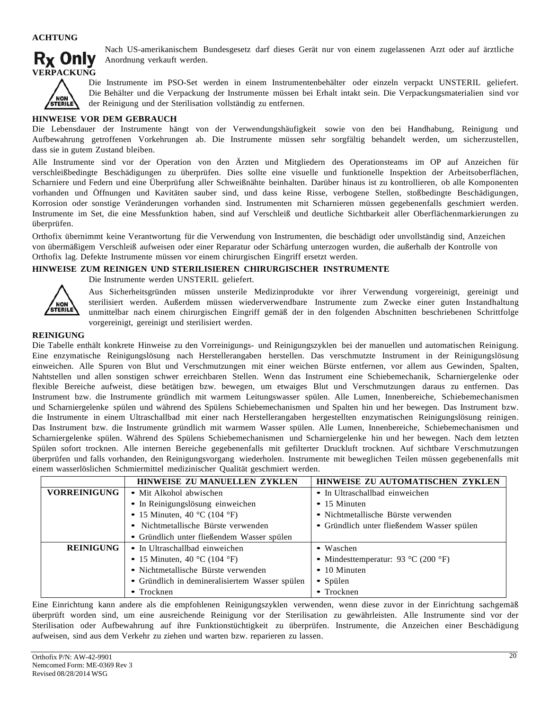

Nach US-amerikanischem Bundesgesetz darf dieses Gerät nur von einem zugelassenen Arzt oder auf ärztliche Anordnung verkauft werden.



Die Instrumente im PSO-Set werden in einem Instrumentenbehälter oder einzeln verpackt UNSTERIL geliefert. Die Behälter und die Verpackung der Instrumente müssen bei Erhalt intakt sein. Die Verpackungsmaterialien sind vor der Reinigung und der Sterilisation vollständig zu entfernen.

### **HINWEISE VOR DEM GEBRAUCH**

Die Lebensdauer der Instrumente hängt von der Verwendungshäufigkeit sowie von den bei Handhabung, Reinigung und Aufbewahrung getroffenen Vorkehrungen ab. Die Instrumente müssen sehr sorgfältig behandelt werden, um sicherzustellen, dass sie in gutem Zustand bleiben.

Alle Instrumente sind vor der Operation von den Ärzten und Mitgliedern des Operationsteams im OP auf Anzeichen für verschleißbedingte Beschädigungen zu überprüfen. Dies sollte eine visuelle und funktionelle Inspektion der Arbeitsoberflächen, Scharniere und Federn und eine Überprüfung aller Schweißnähte beinhalten. Darüber hinaus ist zu kontrollieren, ob alle Komponenten vorhanden und Öffnungen und Kavitäten sauber sind, und dass keine Risse, verbogene Stellen, stoßbedingte Beschädigungen, Korrosion oder sonstige Veränderungen vorhanden sind. Instrumenten mit Scharnieren müssen gegebenenfalls geschmiert werden. Instrumente im Set, die eine Messfunktion haben, sind auf Verschleiß und deutliche Sichtbarkeit aller Oberflächenmarkierungen zu überprüfen.

Orthofix übernimmt keine Verantwortung für die Verwendung von Instrumenten, die beschädigt oder unvollständig sind, Anzeichen von übermäßigem Verschleiß aufweisen oder einer Reparatur oder Schärfung unterzogen wurden, die außerhalb der Kontrolle von Orthofix lag. Defekte Instrumente müssen vor einem chirurgischen Eingriff ersetzt werden.

#### **HINWEISE ZUM REINIGEN UND STERILISIEREN CHIRURGISCHER INSTRUMENTE**

NON<br>STERILE

Die Instrumente werden UNSTERIL geliefert.

Aus Sicherheitsgründen müssen unsterile Medizinprodukte vor ihrer Verwendung vorgereinigt, gereinigt und sterilisiert werden. Außerdem müssen wiederverwendbare Instrumente zum Zwecke einer guten Instandhaltung unmittelbar nach einem chirurgischen Eingriff gemäß der in den folgenden Abschnitten beschriebenen Schrittfolge vorgereinigt, gereinigt und sterilisiert werden.

## **REINIGUNG**

Die Tabelle enthält konkrete Hinweise zu den Vorreinigungs- und Reinigungszyklen bei der manuellen und automatischen Reinigung. Eine enzymatische Reinigungslösung nach Herstellerangaben herstellen. Das verschmutzte Instrument in der Reinigungslösung einweichen. Alle Spuren von Blut und Verschmutzungen mit einer weichen Bürste entfernen, vor allem aus Gewinden, Spalten, Nahtstellen und allen sonstigen schwer erreichbaren Stellen. Wenn das Instrument eine Schiebemechanik, Scharniergelenke oder flexible Bereiche aufweist, diese betätigen bzw. bewegen, um etwaiges Blut und Verschmutzungen daraus zu entfernen. Das Instrument bzw. die Instrumente gründlich mit warmem Leitungswasser spülen. Alle Lumen, Innenbereiche, Schiebemechanismen und Scharniergelenke spülen und während des Spülens Schiebemechanismen und Spalten hin und her bewegen. Das Instrument bzw. die Instrumente in einem Ultraschallbad mit einer nach Herstellerangaben hergestellten enzymatischen Reinigungslösung reinigen. Das Instrument bzw. die Instrumente gründlich mit warmem Wasser spülen. Alle Lumen, Innenbereiche, Schiebemechanismen und Scharniergelenke spülen. Während des Spülens Schiebemechanismen und Scharniergelenke hin und her bewegen. Nach dem letzten Spülen sofort trocknen. Alle internen Bereiche gegebenenfalls mit gefilterter Druckluft trocknen. Auf sichtbare Verschmutzungen überprüfen und falls vorhanden, den Reinigungsvorgang wiederholen. Instrumente mit beweglichen Teilen müssen gegebenenfalls mit einem wasserlöslichen Schmiermittel medizinischer Qualität geschmiert werden.

|                     | <b>HINWEISE ZU MANUELLEN ZYKLEN</b>            | HINWEISE ZU AUTOMATISCHEN ZYKLEN           |
|---------------------|------------------------------------------------|--------------------------------------------|
| <b>VORREINIGUNG</b> | • Mit Alkohol abwischen                        | • In Ultraschallbad einweichen             |
|                     | • In Reinigungslösung einweichen               | $\bullet$ 15 Minuten                       |
|                     | • 15 Minuten, 40 °C (104 °F)                   | • Nichtmetallische Bürste verwenden        |
|                     | • Nichtmetallische Bürste verwenden            | • Gründlich unter fließendem Wasser spülen |
|                     | • Gründlich unter fließendem Wasser spülen     |                                            |
| <b>REINIGUNG</b>    | • In Ultraschallbad einweichen                 | • Waschen                                  |
|                     | • 15 Minuten, 40 °C (104 °F)                   | • Mindesttemperatur: 93 °C (200 °F)        |
|                     | • Nichtmetallische Bürste verwenden            | $\bullet$ 10 Minuten                       |
|                     | • Gründlich in demineralisiertem Wasser spülen | • Spülen                                   |
|                     | $\bullet$ Trocknen                             | $\bullet$ Trocknen                         |

Eine Einrichtung kann andere als die empfohlenen Reinigungszyklen verwenden, wenn diese zuvor in der Einrichtung sachgemäß überprüft worden sind, um eine ausreichende Reinigung vor der Sterilisation zu gewährleisten. Alle Instrumente sind vor der Sterilisation oder Aufbewahrung auf ihre Funktionstüchtigkeit zu überprüfen. Instrumente, die Anzeichen einer Beschädigung aufweisen, sind aus dem Verkehr zu ziehen und warten bzw. reparieren zu lassen.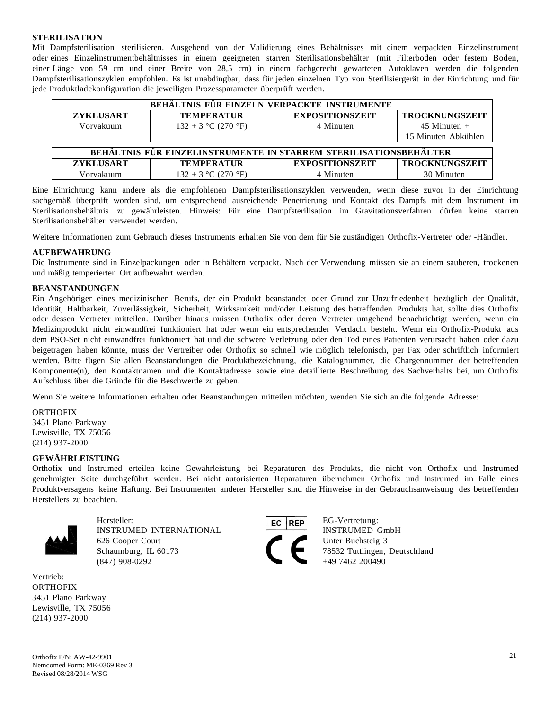#### **STERILISATION**

Mit Dampfsterilisation sterilisieren. Ausgehend von der Validierung eines Behältnisses mit einem verpackten Einzelinstrument oder eines Einzelinstrumentbehältnisses in einem geeigneten starren Sterilisationsbehälter (mit Filterboden oder festem Boden, einer Länge von 59 cm und einer Breite von 28,5 cm) in einem fachgerecht gewarteten Autoklaven werden die folgenden Dampfsterilisationszyklen empfohlen. Es ist unabdingbar, dass für jeden einzelnen Typ von Sterilisiergerät in der Einrichtung und für jede Produktladekonfiguration die jeweiligen Prozessparameter überprüft werden.

| BEHÄLTNIS FÜR EINZELN VERPACKTE INSTRUMENTE                       |                       |                        |                       |  |
|-------------------------------------------------------------------|-----------------------|------------------------|-----------------------|--|
| <b>ZYKLUSART</b>                                                  | <b>TEMPERATUR</b>     | <b>EXPOSITIONSZEIT</b> | <b>TROCKNUNGSZEIT</b> |  |
| Vorvakuum                                                         | $132 + 3$ °C (270 °F) | 4 Minuten              | $45$ Minuten +        |  |
|                                                                   |                       |                        | 15 Minuten Abkühlen   |  |
|                                                                   |                       |                        |                       |  |
| BEHÄLTNIS FÜR EINZELINSTRUMENTE IN STARREM STERILISATIONSBEHÄLTER |                       |                        |                       |  |
| <b>ZYKLUSART</b>                                                  | <b>TEMPERATUR</b>     | <b>EXPOSITIONSZEIT</b> | <b>TROCKNUNGSZEIT</b> |  |
| Vorvakuum                                                         | $132 + 3$ °C (270 °F) | 4 Minuten              | 30 Minuten            |  |

Eine Einrichtung kann andere als die empfohlenen Dampfsterilisationszyklen verwenden, wenn diese zuvor in der Einrichtung sachgemäß überprüft worden sind, um entsprechend ausreichende Penetrierung und Kontakt des Dampfs mit dem Instrument im Sterilisationsbehältnis zu gewährleisten. Hinweis: Für eine Dampfsterilisation im Gravitationsverfahren dürfen keine starren Sterilisationsbehälter verwendet werden.

Weitere Informationen zum Gebrauch dieses Instruments erhalten Sie von dem für Sie zuständigen Orthofix-Vertreter oder -Händler.

#### **AUFBEWAHRUNG**

Die Instrumente sind in Einzelpackungen oder in Behältern verpackt. Nach der Verwendung müssen sie an einem sauberen, trockenen und mäßig temperierten Ort aufbewahrt werden.

#### **BEANSTANDUNGEN**

Ein Angehöriger eines medizinischen Berufs, der ein Produkt beanstandet oder Grund zur Unzufriedenheit bezüglich der Qualität, Identität, Haltbarkeit, Zuverlässigkeit, Sicherheit, Wirksamkeit und/oder Leistung des betreffenden Produkts hat, sollte dies Orthofix oder dessen Vertreter mitteilen. Darüber hinaus müssen Orthofix oder deren Vertreter umgehend benachrichtigt werden, wenn ein Medizinprodukt nicht einwandfrei funktioniert hat oder wenn ein entsprechender Verdacht besteht. Wenn ein Orthofix-Produkt aus dem PSO-Set nicht einwandfrei funktioniert hat und die schwere Verletzung oder den Tod eines Patienten verursacht haben oder dazu beigetragen haben könnte, muss der Vertreiber oder Orthofix so schnell wie möglich telefonisch, per Fax oder schriftlich informiert werden. Bitte fügen Sie allen Beanstandungen die Produktbezeichnung, die Katalognummer, die Chargennummer der betreffenden Komponente(n), den Kontaktnamen und die Kontaktadresse sowie eine detaillierte Beschreibung des Sachverhalts bei, um Orthofix Aufschluss über die Gründe für die Beschwerde zu geben.

Wenn Sie weitere Informationen erhalten oder Beanstandungen mitteilen möchten, wenden Sie sich an die folgende Adresse:

#### ORTHOFIX

3451 Plano Parkway Lewisville, TX 75056 (214) 937-2000

#### **GEWÄHRLEISTUNG**

Orthofix und Instrumed erteilen keine Gewährleistung bei Reparaturen des Produkts, die nicht von Orthofix und Instrumed genehmigter Seite durchgeführt werden. Bei nicht autorisierten Reparaturen übernehmen Orthofix und Instrumed im Falle eines Produktversagens keine Haftung. Bei Instrumenten anderer Hersteller sind die Hinweise in der Gebrauchsanweisung des betreffenden Herstellers zu beachten.



Hersteller: EG-Vertretung: EG-Vertretung: INSTRUMED INTERNATIONAL **INSTRUMED GmbH** 626 Cooper Court Unter Buchsteig 3 Schaumburg, IL 60173 78532 Tuttlingen, Deutschland  $(847)$  908-0292  $+49$  7462 200490



Vertrieb: **ORTHOFIX** 3451 Plano Parkway Lewisville, TX 75056 (214) 937-2000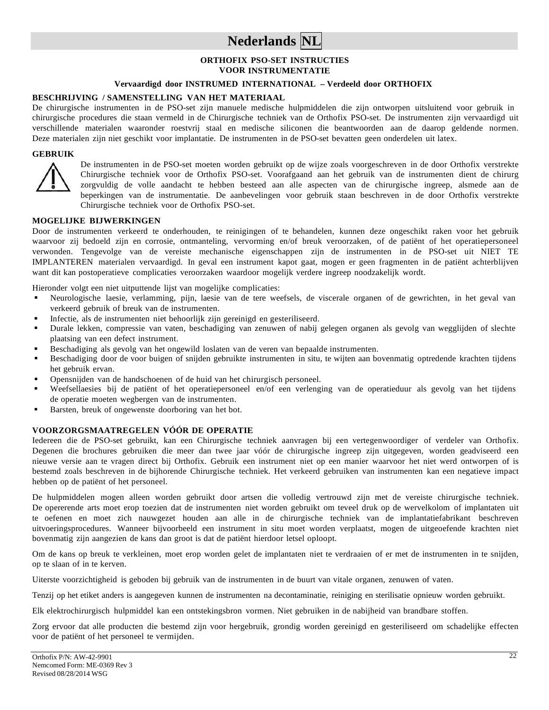## **Nederlands NL**

### **ORTHOFIX PSO-SET INSTRUCTIES VOOR INSTRUMENTATIE**

## **Vervaardigd door INSTRUMED INTERNATIONAL – Verdeeld door ORTHOFIX**

### **BESCHRIJVING / SAMENSTELLING VAN HET MATERIAAL**

De chirurgische instrumenten in de PSO-set zijn manuele medische hulpmiddelen die zijn ontworpen uitsluitend voor gebruik in chirurgische procedures die staan vermeld in de Chirurgische techniek van de Orthofix PSO-set. De instrumenten zijn vervaardigd uit verschillende materialen waaronder roestvrij staal en medische siliconen die beantwoorden aan de daarop geldende normen. Deze materialen zijn niet geschikt voor implantatie. De instrumenten in de PSO-set bevatten geen onderdelen uit latex.

### **GEBRUIK**



De instrumenten in de PSO-set moeten worden gebruikt op de wijze zoals voorgeschreven in de door Orthofix verstrekte Chirurgische techniek voor de Orthofix PSO-set. Voorafgaand aan het gebruik van de instrumenten dient de chirurg zorgvuldig de volle aandacht te hebben besteed aan alle aspecten van de chirurgische ingreep, alsmede aan de beperkingen van de instrumentatie. De aanbevelingen voor gebruik staan beschreven in de door Orthofix verstrekte Chirurgische techniek voor de Orthofix PSO-set.

#### **MOGELIJKE BIJWERKINGEN**

Door de instrumenten verkeerd te onderhouden, te reinigingen of te behandelen, kunnen deze ongeschikt raken voor het gebruik waarvoor zij bedoeld zijn en corrosie, ontmanteling, vervorming en/of breuk veroorzaken, of de patiënt of het operatiepersoneel verwonden. Tengevolge van de vereiste mechanische eigenschappen zijn de instrumenten in de PSO-set uit NIET TE IMPLANTEREN materialen vervaardigd. In geval een instrument kapot gaat, mogen er geen fragmenten in de patiënt achterblijven want dit kan postoperatieve complicaties veroorzaken waardoor mogelijk verdere ingreep noodzakelijk wordt.

Hieronder volgt een niet uitputtende lijst van mogelijke complicaties:

- Neurologische laesie, verlamming, pijn, laesie van de tere weefsels, de viscerale organen of de gewrichten, in het geval van verkeerd gebruik of breuk van de instrumenten.
- Infectie, als de instrumenten niet behoorlijk zijn gereinigd en gesteriliseerd.
- Durale lekken, compressie van vaten, beschadiging van zenuwen of nabij gelegen organen als gevolg van wegglijden of slechte plaatsing van een defect instrument.
- Beschadiging als gevolg van het ongewild loslaten van de veren van bepaalde instrumenten.
- Beschadiging door de voor buigen of snijden gebruikte instrumenten in situ, te wijten aan bovenmatig optredende krachten tijdens het gebruik ervan.
- Opensnijden van de handschoenen of de huid van het chirurgisch personeel.
- Weefsellaesies bij de patiënt of het operatiepersoneel en/of een verlenging van de operatieduur als gevolg van het tijdens de operatie moeten wegbergen van de instrumenten.
- Barsten, breuk of ongewenste doorboring van het bot.

## **VOORZORGSMAATREGELEN VÓÓR DE OPERATIE**

Iedereen die de PSO-set gebruikt, kan een Chirurgische techniek aanvragen bij een vertegenwoordiger of verdeler van Orthofix. Degenen die brochures gebruiken die meer dan twee jaar vóór de chirurgische ingreep zijn uitgegeven, worden geadviseerd een nieuwe versie aan te vragen direct bij Orthofix. Gebruik een instrument niet op een manier waarvoor het niet werd ontworpen of is bestemd zoals beschreven in de bijhorende Chirurgische techniek. Het verkeerd gebruiken van instrumenten kan een negatieve impact hebben op de patiënt of het personeel.

De hulpmiddelen mogen alleen worden gebruikt door artsen die volledig vertrouwd zijn met de vereiste chirurgische techniek. De opererende arts moet erop toezien dat de instrumenten niet worden gebruikt om teveel druk op de wervelkolom of implantaten uit te oefenen en moet zich nauwgezet houden aan alle in de chirurgische techniek van de implantatiefabrikant beschreven uitvoeringsprocedures. Wanneer bijvoorbeeld een instrument in situ moet worden verplaatst, mogen de uitgeoefende krachten niet bovenmatig zijn aangezien de kans dan groot is dat de patiënt hierdoor letsel oploopt.

Om de kans op breuk te verkleinen, moet erop worden gelet de implantaten niet te verdraaien of er met de instrumenten in te snijden, op te slaan of in te kerven.

Uiterste voorzichtigheid is geboden bij gebruik van de instrumenten in de buurt van vitale organen, zenuwen of vaten.

Tenzij op het etiket anders is aangegeven kunnen de instrumenten na decontaminatie, reiniging en sterilisatie opnieuw worden gebruikt.

Elk elektrochirurgisch hulpmiddel kan een ontstekingsbron vormen. Niet gebruiken in de nabijheid van brandbare stoffen.

Zorg ervoor dat alle producten die bestemd zijn voor hergebruik, grondig worden gereinigd en gesteriliseerd om schadelijke effecten voor de patiënt of het personeel te vermijden.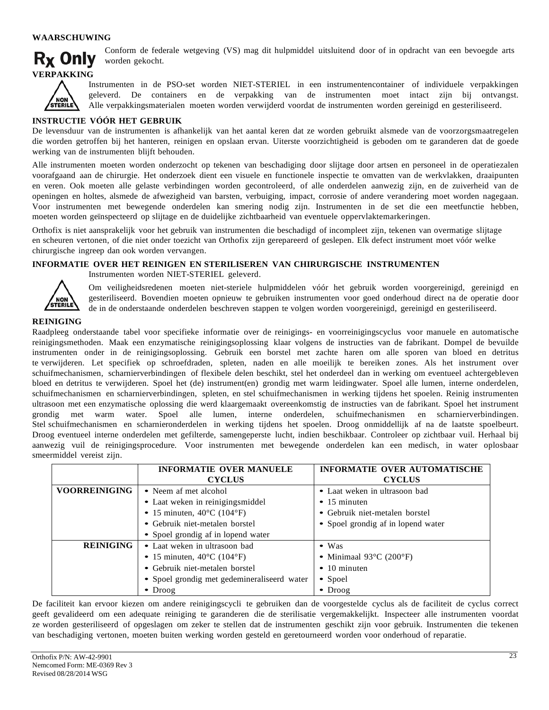#### **WAARSCHUWING**



Conform de federale wetgeving (VS) mag dit hulpmiddel uitsluitend door of in opdracht van een bevoegde arts worden gekocht.



Instrumenten in de PSO-set worden NIET-STERIEL in een instrumentencontainer of individuele verpakkingen geleverd. De containers en de verpakking van de instrumenten moet intact zijn bij ontvangst. Alle verpakkingsmaterialen moeten worden verwijderd voordat de instrumenten worden gereinigd en gesteriliseerd.

#### **INSTRUCTIE VÓÓR HET GEBRUIK**

De levensduur van de instrumenten is afhankelijk van het aantal keren dat ze worden gebruikt alsmede van de voorzorgsmaatregelen die worden getroffen bij het hanteren, reinigen en opslaan ervan. Uiterste voorzichtigheid is geboden om te garanderen dat de goede werking van de instrumenten blijft behouden.

Alle instrumenten moeten worden onderzocht op tekenen van beschadiging door slijtage door artsen en personeel in de operatiezalen voorafgaand aan de chirurgie. Het onderzoek dient een visuele en functionele inspectie te omvatten van de werkvlakken, draaipunten en veren. Ook moeten alle gelaste verbindingen worden gecontroleerd, of alle onderdelen aanwezig zijn, en de zuiverheid van de openingen en holtes, alsmede de afwezigheid van barsten, verbuiging, impact, corrosie of andere verandering moet worden nagegaan. Voor instrumenten met bewegende onderdelen kan smering nodig zijn. Instrumenten in de set die een meetfunctie hebben, moeten worden geïnspecteerd op slijtage en de duidelijke zichtbaarheid van eventuele oppervlaktemarkeringen.

Orthofix is niet aansprakelijk voor het gebruik van instrumenten die beschadigd of incompleet zijn, tekenen van overmatige slijtage en scheuren vertonen, of die niet onder toezicht van Orthofix zijn gerepareerd of geslepen. Elk defect instrument moet vóór welke chirurgische ingreep dan ook worden vervangen.

#### **INFORMATIE OVER HET REINIGEN EN STERILISEREN VAN CHIRURGISCHE INSTRUMENTEN**

Instrumenten worden NIET-STERIEL geleverd.



Om veiligheidsredenen moeten niet-steriele hulpmiddelen vóór het gebruik worden voorgereinigd, gereinigd en gesteriliseerd. Bovendien moeten opnieuw te gebruiken instrumenten voor goed onderhoud direct na de operatie door de in de onderstaande onderdelen beschreven stappen te volgen worden voorgereinigd, gereinigd en gesteriliseerd.

#### **REINIGING**

Raadpleeg onderstaande tabel voor specifieke informatie over de reinigings- en voorreinigingscyclus voor manuele en automatische reinigingsmethoden. Maak een enzymatische reinigingsoplossing klaar volgens de instructies van de fabrikant. Dompel de bevuilde instrumenten onder in de reinigingsoplossing. Gebruik een borstel met zachte haren om alle sporen van bloed en detritus te verwijderen. Let specifiek op schroefdraden, spleten, naden en alle moeilijk te bereiken zones. Als het instrument over schuifmechanismen, scharnierverbindingen of flexibele delen beschikt, stel het onderdeel dan in werking om eventueel achtergebleven bloed en detritus te verwijderen. Spoel het (de) instrument(en) grondig met warm leidingwater. Spoel alle lumen, interne onderdelen, schuifmechanismen en scharnierverbindingen, spleten, en stel schuifmechanismen in werking tijdens het spoelen. Reinig instrumenten ultrasoon met een enzymatische oplossing die werd klaargemaakt overeenkomstig de instructies van de fabrikant. Spoel het instrument grondig met warm water. Spoel alle lumen, interne onderdelen, schuifmechanismen en scharnierverbindingen. Stel schuifmechanismen en scharnieronderdelen in werking tijdens het spoelen. Droog onmiddellijk af na de laatste spoelbeurt. Droog eventueel interne onderdelen met gefilterde, samengeperste lucht, indien beschikbaar. Controleer op zichtbaar vuil. Herhaal bij aanwezig vuil de reinigingsprocedure. Voor instrumenten met bewegende onderdelen kan een medisch, in water oplosbaar smeermiddel vereist zijn.

|                      | <b>INFORMATIE OVER MANUELE</b>                  | <b>INFORMATIE OVER AUTOMATISCHE</b>          |
|----------------------|-------------------------------------------------|----------------------------------------------|
|                      | <b>CYCLUS</b>                                   | <b>CYCLUS</b>                                |
| <b>VOORREINIGING</b> | • Neem af met alcohol                           | • Laat weken in ultrasoon bad                |
|                      | • Laat weken in reinigingsmiddel                | $\bullet$ 15 minuten                         |
|                      | • 15 minuten, $40^{\circ}$ C (104 $^{\circ}$ F) | • Gebruik niet-metalen borstel               |
|                      | • Gebruik niet-metalen borstel                  | • Spoel grondig af in lopend water           |
|                      | • Spoel grondig af in lopend water              |                                              |
| <b>REINIGING</b>     | • Laat weken in ultrasoon bad                   | $\bullet$ Was                                |
|                      | • 15 minuten, $40^{\circ}$ C (104 $^{\circ}$ F) | • Minimaal $93^{\circ}$ C (200 $^{\circ}$ F) |
|                      | • Gebruik niet-metalen borstel                  | $\bullet$ 10 minuten                         |
|                      | • Spoel grondig met gedemineraliseerd water     | • Spoel                                      |
|                      | $\bullet$ Droog                                 | $\bullet$ Droog                              |

De faciliteit kan ervoor kiezen om andere reinigingscycli te gebruiken dan de voorgestelde cyclus als de faciliteit de cyclus correct geeft gevalideerd om een adequate reiniging te garanderen die de sterilisatie vergemakkelijkt. Inspecteer alle instrumenten voordat ze worden gesteriliseerd of opgeslagen om zeker te stellen dat de instrumenten geschikt zijn voor gebruik. Instrumenten die tekenen van beschadiging vertonen, moeten buiten werking worden gesteld en geretourneerd worden voor onderhoud of reparatie.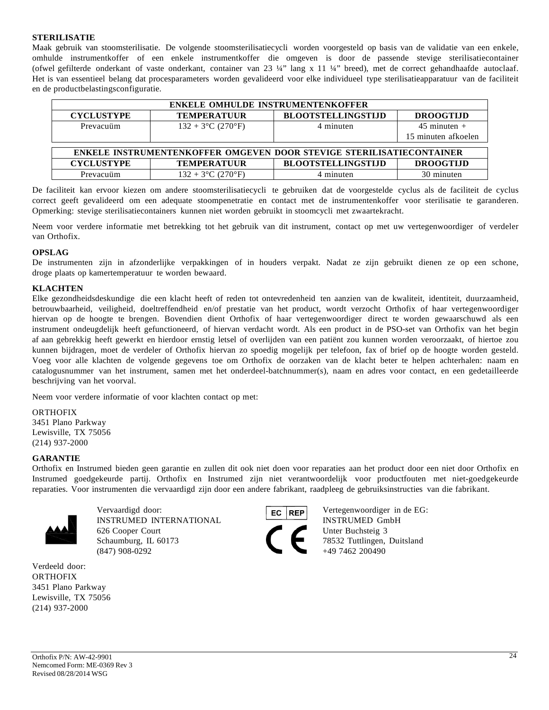### **STERILISATIE**

Maak gebruik van stoomsterilisatie. De volgende stoomsterilisatiecycli worden voorgesteld op basis van de validatie van een enkele, omhulde instrumentkoffer of een enkele instrumentkoffer die omgeven is door de passende stevige sterilisatiecontainer (ofwel gefilterde onderkant of vaste onderkant, container van 23 ¼" lang x 11 ¼" breed), met de correct gehandhaafde autoclaaf. Het is van essentieel belang dat procesparameters worden gevalideerd voor elke individueel type sterilisatieapparatuur van de faciliteit en de productbelastingsconfiguratie.

| <b>ENKELE OMHULDE INSTRUMENTENKOFFER</b>                             |                      |                           |                     |  |  |
|----------------------------------------------------------------------|----------------------|---------------------------|---------------------|--|--|
| <b>CYCLUSTYPE</b>                                                    | <b>TEMPERATUUR</b>   | <b>BLOOTSTELLINGSTIJD</b> | <b>DROOGTIJD</b>    |  |  |
| Prevacuüm                                                            | $132 + 3$ °C (270°F) | 4 minuten                 | $45$ minuten $+$    |  |  |
|                                                                      |                      |                           | 15 minuten afkoelen |  |  |
|                                                                      |                      |                           |                     |  |  |
| ENKELE INSTRUMENTENKOFFER OMGEVEN DOOR STEVIGE STERILISATIECONTAINER |                      |                           |                     |  |  |
| <b>CYCLUSTYPE</b>                                                    | <b>TEMPERATUUR</b>   | <b>BLOOTSTELLINGSTIJD</b> | <b>DROOGTIJD</b>    |  |  |
| Prevacuüm                                                            | $132 + 3$ °C (270°F) | 4 minuten                 | 30 minuten          |  |  |

De faciliteit kan ervoor kiezen om andere stoomsterilisatiecycli te gebruiken dat de voorgestelde cyclus als de faciliteit de cyclus correct geeft gevalideerd om een adequate stoompenetratie en contact met de instrumentenkoffer voor sterilisatie te garanderen. Opmerking: stevige sterilisatiecontainers kunnen niet worden gebruikt in stoomcycli met zwaartekracht.

Neem voor verdere informatie met betrekking tot het gebruik van dit instrument, contact op met uw vertegenwoordiger of verdeler van Orthofix.

#### **OPSLAG**

De instrumenten zijn in afzonderlijke verpakkingen of in houders verpakt. Nadat ze zijn gebruikt dienen ze op een schone, droge plaats op kamertemperatuur te worden bewaard.

## **KLACHTEN**

Elke gezondheidsdeskundige die een klacht heeft of reden tot ontevredenheid ten aanzien van de kwaliteit, identiteit, duurzaamheid, betrouwbaarheid, veiligheid, doeltreffendheid en/of prestatie van het product, wordt verzocht Orthofix of haar vertegenwoordiger hiervan op de hoogte te brengen. Bovendien dient Orthofix of haar vertegenwoordiger direct te worden gewaarschuwd als een instrument ondeugdelijk heeft gefunctioneerd, of hiervan verdacht wordt. Als een product in de PSO-set van Orthofix van het begin af aan gebrekkig heeft gewerkt en hierdoor ernstig letsel of overlijden van een patiënt zou kunnen worden veroorzaakt, of hiertoe zou kunnen bijdragen, moet de verdeler of Orthofix hiervan zo spoedig mogelijk per telefoon, fax of brief op de hoogte worden gesteld. Voeg voor alle klachten de volgende gegevens toe om Orthofix de oorzaken van de klacht beter te helpen achterhalen: naam en catalogusnummer van het instrument, samen met het onderdeel-batchnummer(s), naam en adres voor contact, en een gedetailleerde beschrijving van het voorval.

Neem voor verdere informatie of voor klachten contact op met:

#### **ORTHOFIX**

3451 Plano Parkway Lewisville, TX 75056 (214) 937-2000

#### **GARANTIE**

Orthofix en Instrumed bieden geen garantie en zullen dit ook niet doen voor reparaties aan het product door een niet door Orthofix en Instrumed goedgekeurde partij. Orthofix en Instrumed zijn niet verantwoordelijk voor productfouten met niet-goedgekeurde reparaties. Voor instrumenten die vervaardigd zijn door een andere fabrikant, raadpleeg de gebruiksinstructies van die fabrikant.



Vervaardigd door: **Vertegenwoordiger** in de EG: INSTRUMED INTERNATIONAL INSTRUMED GmbH 626 Cooper Court Unter Buchsteig 3 Schaumburg, IL 60173 78532 Tuttlingen, Duitsland  $(847)$  908-0292  $+49$  7462 200490

Verdeeld door: **ORTHOFIX** 3451 Plano Parkway Lewisville, TX 75056 (214) 937-2000

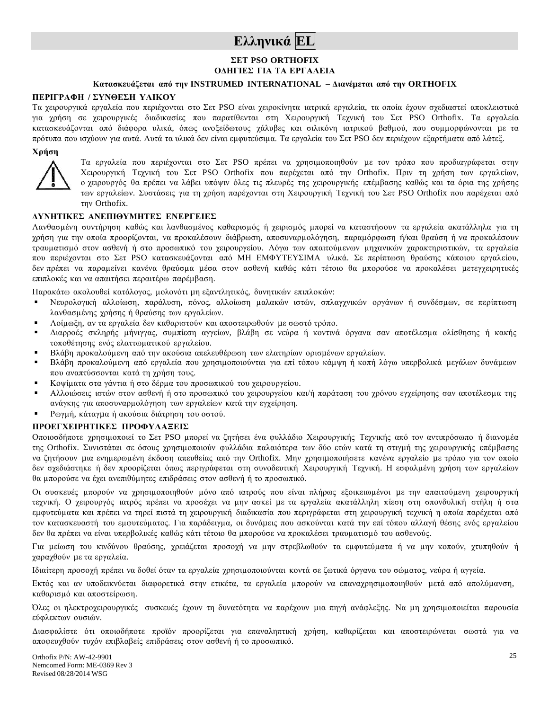## **Ελληνικά EL**

## **ΣΕΤ PSO ORTHOFIX ΟΔΗΓΙΕΣ ΓΙΑ ΤΑ ΕΡΓΑΛΕΙΑ**

## **Κατασκευάζεται από την INSTRUMED INTERNATIONAL – Διανέµεται από την ORTHOFIX**

#### **ΠΕΡΙΓΡΑΦΗ / ΣΥΝΘΕΣΗ ΥΛΙΚΟΥ**

Τα χειρουργικά εργαλεία που περιέχονται στο Σετ PSO είναι χειροκίνητα ιατρικά εργαλεία, τα οποία έχουν σχεδιαστεί αποκλειστικά για χρήση σε χειρουργικές διαδικασίες που παρατίθενται στη Χειρουργική Τεχνική του Σετ PSO Orthofix. Τα εργαλεία κατασκευάζονται από διάφορα υλικά, όπως ανοξείδωτους χάλυβες και σιλικόνη ιατρικού βαθµού, που συµµορφώνονται µε τα πρότυπα που ισχύουν για αυτά. Αυτά τα υλικά δεν είναι εµφυτεύσιµα. Τα εργαλεία του Σετ PSO δεν περιέχουν εξαρτήµατα από λάτεξ.

#### **Χρήση**



Τα εργαλεία που περιέχονται στο Σετ PSO πρέπει να χρησιµοποιηθούν µε τον τρόπο που προδιαγράφεται στην Χειρουργική Τεχνική του Σετ PSO Orthofix που παρέχεται από την Orthofix. Πριν τη χρήση των εργαλείων, ο χειρουργός θα πρέπει να λάβει υπόψιν όλες τις πλευρές της χειρουργικής επέµβασης καθώς και τα όρια της χρήσης των εργαλείων. Συστάσεις για τη χρήση παρέχονται στη Χειρουργική Τεχνική του Σετ PSO Orthofix που παρέχεται από την Orthofix.

#### **ΔΥΝΗΤΙΚΕΣ ΑΝΕΠΙΘΥΜΗΤΕΣ ΕΝΕΡΓΕΙΕΣ**

Λανθασμένη συντήρηση καθώς και λανθασμένος καθαρισμός ή χειρισμός μπορεί να καταστήσουν τα εργαλεία ακατάλληλα για τη χρήση για την οποία προορίζονται, να προκαλέσουν διάβρωση, αποσυναρµολόγηση, παραµόρφωση ή/και θραύση ή να προκαλέσουν τραυµατισµό στον ασθενή ή στο προσωπικό του χειρουργείου. Λόγω των απαιτούµενων µηχανικών χαρακτηριστικών, τα εργαλεία που περιέχονται στο Σετ PSO κατασκευάζονται από ΜΗ ΕΜΦΥΤΕΥΣΙΜΑ υλικά. Σε περίπτωση θραύσης κάποιου εργαλείου, δεν πρέπει να παραµείνει κανένα θραύσµα µέσα στον ασθενή καθώς κάτι τέτοιο θα µπορούσε να προκαλέσει µετεγχειρητικές επιπλοκές και να απαιτήσει περαιτέρω παρέµβαση.

Παρακάτω ακολουθεί κατάλογος, µολονότι µη εξαντλητικός, δυνητικών επιπλοκών:

- Νευρολογική αλλοίωση, παράλυση, πόνος, αλλοίωση µαλακών ιστών, σπλαγχνικών οργάνων ή συνδέσµων, σε περίπτωση λανθασµένης χρήσης ή θραύσης των εργαλείων.
- Λοίµωξη, αν τα εργαλεία δεν καθαριστούν και αποστειρωθούν µε σωστό τρόπο.
- Διαρροές σκληρής µήνιγγας, συµπίεση αγγείων, βλάβη σε νεύρα ή κοντινά όργανα σαν αποτέλεσµα ολίσθησης ή κακής τοποθέτησης ενός ελαττωµατικού εργαλείου.
- Βλάβη προκαλούµενη από την ακούσια απελευθέρωση των ελατηρίων ορισµένων εργαλείων.
- Βλάβη προκαλούµενη από εργαλεία που χρησιµοποιούνται για επί τόπου κάµψη ή κοπή λόγω υπερβολικά µεγάλων δυνάµεων που αναπτύσσονται κατά τη χρήση τους.
- Κοψίµατα στα γάντια ή στο δέρµα του προσωπικού του χειρουργείου.
- Αλλοιώσεις ιστών στον ασθενή ή στο προσωπικό του χειρουργείου και/ή παράταση του χρόνου εγχείρησης σαν αποτέλεσµα της ανάγκης για αποσυναρµολόγηση των εργαλείων κατά την εγχείρηση.
- Ρωγµή, κάταγµα ή ακούσια διάτρηση του οστού.

## **ΠΡΟΕΓΧΕΙΡΗΤΙΚΕΣ ΠΡΟΦΥΛΑΞΕΙΣ**

Οποιοσδήποτε χρησιµοποιεί το Σετ PSO µπορεί να ζητήσει ένα φυλλάδιο Χειρουργικής Τεχνικής από τον αντιπρόσωπο ή διανοµέα της Orthofix. Συνιστάται σε όσους χρησιµοποιούν φυλλάδια παλαιότερα των δύο ετών κατά τη στιγµή της χειρουργικής επέµβασης να ζητήσουν µια ενηµερωµένη έκδοση απευθείας από την Orthofix. Μην χρησιµοποιήσετε κανένα εργαλείο µε τρόπο για τον οποίο δεν σχεδιάστηκε ή δεν προορίζεται όπως περιγράφεται στη συνοδευτική Χειρουργική Τεχνική. Η εσφαλµένη χρήση των εργαλείων θα µπορούσε να έχει ανεπιθύµητες επιδράσεις στον ασθενή ή το προσωπικό.

Οι συσκευές µπορούν να χρησιµοποιηθούν µόνο από ιατρούς που είναι πλήρως εξοικειωµένοι µε την απαιτούµενη χειρουργική τεχνική. Ο χειρουργός ιατρός πρέπει να προσέχει να µην ασκεί µε τα εργαλεία ακατάλληλη πίεση στη σπονδυλική στήλη ή στα εµφυτεύµατα και πρέπει να τηρεί πιστά τη χειρουργική διαδικασία που περιγράφεται στη χειρουργική τεχνική η οποία παρέχεται από τον κατασκευαστή του εµφυτεύµατος. Για παράδειγµα, οι δυνάµεις που ασκούνται κατά την επί τόπου αλλαγή θέσης ενός εργαλείου δεν θα πρέπει να είναι υπερβολικές καθώς κάτι τέτοιο θα µπορούσε να προκαλέσει τραυµατισµό του ασθενούς.

Για µείωση του κινδύνου θραύσης, χρειάζεται προσοχή να µην στρεβλωθούν τα εµφυτεύµατα ή να µην κοπούν, χτυπηθούν ή χαραχθούν µε τα εργαλεία.

Ιδιαίτερη προσοχή πρέπει να δοθεί όταν τα εργαλεία χρησιµοποιούνται κοντά σε ζωτικά όργανα του σώµατος, νεύρα ή αγγεία.

Εκτός και αν υποδεικνύεται διαφορετικά στην ετικέτα, τα εργαλεία µπορούν να επαναχρησιµοποιηθούν µετά από απολύµανση, καθαρισµό και αποστείρωση.

Όλες οι ηλεκτροχειρουργικές συσκευές έχουν τη δυνατότητα να παρέχουν µια πηγή ανάφλεξης. Να µη χρησιµοποιείται παρουσία εύφλεκτων ουσιών.

Διασφαλίστε ότι οποιοδήποτε προϊόν προορίζεται για επαναληπτική χρήση, καθαρίζεται και αποστειρώνεται σωστά για να αποφευχθούν τυχόν επιβλαβείς επιδράσεις στον ασθενή ή το προσωπικό.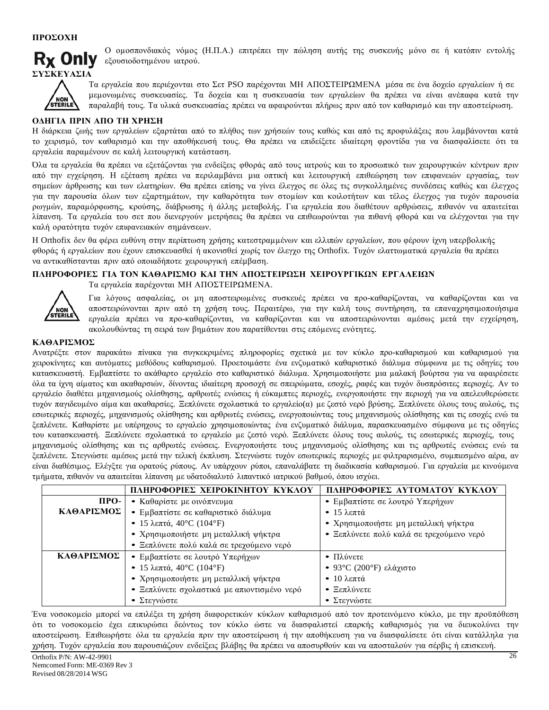

Ο οµοσπονδιακός νόµος (Η.Π.Α.) επιτρέπει την πώληση αυτής της συσκευής µόνο σε ή κατόπιν εντολής εξουσιοδοτηµένου ιατρού.



Τα εργαλεία που περιέχονται στο Σετ PSO παρέχονται ΜΗ ΑΠΟΣΤΕΙΡΩΜΕΝΑ µέσα σε ένα δοχείο εργαλείων ή σε µεµονωµένες συσκευασίες. Τα δοχεία και η συσκευασία των εργαλείων θα πρέπει να είναι ανέπαφα κατά την παραλαβή τους. Τα υλικά συσκευασίας πρέπει να αφαιρούνται πλήρως πριν από τον καθαρισµό και την αποστείρωση.

## **ΟΔΗΓΙΑ ΠΡΙΝ ΑΠΟ ΤΗ ΧΡΗΣΗ**

Η διάρκεια ζωής των εργαλείων εξαρτάται από το πλήθος των χρήσεών τους καθώς και από τις προφυλάξεις που λαµβάνονται κατά το χειρισµό, τον καθαρισµό και την αποθήκευσή τους. Θα πρέπει να επιδείξετε ιδιαίτερη φροντίδα για να διασφαλίσετε ότι τα εργαλεία παραµένουν σε καλή λειτουργική κατάσταση.

Όλα τα εργαλεία θα πρέπει να εξετάζονται για ενδείξεις φθοράς από τους ιατρούς και το προσωπικό των χειρουργικών κέντρων πριν από την εγχείρηση. Η εξέταση πρέπει να περιλαµβάνει µια οπτική και λειτουργική επιθεώρηση των επιφανειών εργασίας, των σηµείων άρθρωσης και των ελατηρίων. Θα πρέπει επίσης να γίνει έλεγχος σε όλες τις συγκολληµένες συνδέσεις καθώς και έλεγχος για την παρουσία όλων των εξαρτηµάτων, την καθαρότητα των στοµίων και κοιλοτήτων και τέλος έλεγχος για τυχόν παρουσία ρωγµών, παραµόρφωσης, κρούσης, διάβρωσης ή άλλης µεταβολής. Για εργαλεία που διαθέτουν αρθρώσεις, πιθανόν να απαιτείται λίπανση. Τα εργαλεία του σετ που διενεργούν µετρήσεις θα πρέπει να επιθεωρούνται για πιθανή φθορά και να ελέγχονται για την καλή ορατότητα τυχόν επιφανειακών σηµάνσεων.

Η Orthofix δεν θα φέρει ευθύνη στην περίπτωση χρήσης κατεστραµµένων και ελλιπών εργαλείων, που φέρουν ίχνη υπερβολικής φθοράς ή εργαλείων που έχουν επισκευασθεί ή ακονισθεί χωρίς τον έλεγχο της Orthofix. Τυχόν ελαττωµατικά εργαλεία θα πρέπει να αντικαθίστανται πριν από οποιαδήποτε χειρουργική επέµβαση.

## **ΠΛΗΡΟΦΟΡΙΕΣ ΓΙΑ ΤΟΝ ΚΑΘΑΡΙΣΜΟ ΚΑΙ ΤΗΝ ΑΠΟΣΤΕΙΡΩΣΗ ΧΕΙΡΟΥΡΓΙΚΩΝ ΕΡΓΑΛΕΙΩΝ**

Τα εργαλεία παρέχονται ΜΗ ΑΠΟΣΤΕΙΡΩΜΕΝΑ.



Για λόγους ασφαλείας, οι µη αποστειρωµένες συσκευές πρέπει να προ-καθαρίζονται, να καθαρίζονται και να αποστειρώνονται πριν από τη χρήση τους. Περαιτέρω, για την καλή τους συντήρηση, τα επαναχρησιµοποιήσιµα εργαλεία πρέπει να προ-καθαρίζονται, να καθαρίζονται και να αποστειρώνονται αµέσως µετά την εγχείρηση, ακολουθώντας τη σειρά των βηµάτων που παρατίθενται στις επόµενες ενότητες.

## **ΚΑΘΑΡΙΣΜΟΣ**

Ανατρέξτε στον παρακάτω πίνακα για συγκεκριµένες πληροφορίες σχετικά µε τον κύκλο προ-καθαρισµού και καθαρισµού για χειροκίνητες και αυτόµατες µεθόδους καθαρισµού. Προετοιµάστε ένα ενζυµατικό καθαριστικό διάλυµα σύµφωνα µε τις οδηγίες του κατασκευαστή. Εµβαπτίστε το ακάθαρτο εργαλείο στο καθαριστικό διάλυµα. Χρησιµοποιήστε µια µαλακή βούρτσα για να αφαιρέσετε όλα τα ίχνη αίµατος και ακαθαρσιών, δίνοντας ιδιαίτερη προσοχή σε σπειρώµατα, εσοχές, ραφές και τυχόν δυσπρόσιτες περιοχές. Αν το εργαλείο διαθέτει µηχανισµούς ολίσθησης, αρθρωτές ενώσεις ή εύκαµπτες περιοχές, ενεργοποιήστε την περιοχή για να απελευθερώσετε τυχόν παγιδευµένο αίµα και ακαθαρσίες. Ξεπλύνετε σχολαστικά το εργαλείο(α) µε ζεστό νερό βρύσης. Ξεπλύνετε όλους τους αυλούς, τις εσωτερικές περιοχές, µηχανισµούς ολίσθησης και αρθρωτές ενώσεις, ενεργοποιώντας τους µηχανισµούς ολίσθησης και τις εσοχές ενώ τα ξεπλένετε. Καθαρίστε µε υπέρηχους το εργαλείο χρησιµοποιώντας ένα ενζυµατικό διάλυµα, παρασκευασµένο σύµφωνα µε τις οδηγίες του κατασκευαστή. Ξεπλύνετε σχολαστικά το εργαλείο µε ζεστό νερό. Ξεπλύνετε όλους τους αυλούς, τις εσωτερικές περιοχές, τους µηχανισµούς ολίσθησης και τις αρθρωτές ενώσεις. Ενεργοποιήστε τους µηχανισµούς ολίσθησης και τις αρθρωτές ενώσεις ενώ τα ξεπλένετε. Στεγνώστε αµέσως µετά την τελική έκπλυση. Στεγνώστε τυχόν εσωτερικές περιοχές µε φιλτραρισµένο, συµπιεσµένο αέρα, αν είναι διαθέσιµος. Ελέγξτε για ορατούς ρύπους. Αν υπάρχουν ρύποι, επαναλάβατε τη διαδικασία καθαρισµού. Για εργαλεία µε κινούµενα τµήµατα, πιθανόν να απαιτείται λίπανση µε υδατοδιαλυτό λιπαντικό ιατρικού βαθµού, όπου ισχύει.

|            | ΠΛΗΡΟΦΟΡΙΕΣ ΧΕΙΡΟΚΙΝΗΤΟΥ ΚΥΚΛΟΥ             | ΠΛΗΡΟΦΟΡΙΕΣ ΑΥΤΟΜΑΤΟΥ ΚΥΚΛΟΥ             |
|------------|---------------------------------------------|------------------------------------------|
| ПРО-       | • Καθαρίστε με οινόπνευμα                   | • Εμβαπτίστε σε λουτρό Υπερήχων          |
| ΚΑΘΑΡΙΣΜΟΣ | • Εμβαπτίστε σε καθαριστικό διάλυμα         | $\bullet$ 15 λεπτά                       |
|            | • 15 λεπτά, 40°C (104°F)                    | • Χρησιμοποιήστε μη μεταλλική ψήκτρα     |
|            | • Χρησιμοποιήστε μη μεταλλική ψήκτρα        | • Ξεπλύνετε πολύ καλά σε τρεχούμενο νερό |
|            | • Ξεπλύνετε πολύ καλά σε τρεχούμενο νερό    |                                          |
| ΚΑΘΑΡΙΣΜΟΣ | • Εμβαπτίστε σε λουτρό Υπερήχων             | $\bullet$ Πλύνετε                        |
|            | • 15 λεπτά, 40°C (104°F)                    | • 93°C (200°F) ελάχιστο                  |
|            | • Χρησιμοποιήστε μη μεταλλική ψήκτρα        | $\bullet$ 10 λεπτά                       |
|            | • Ξεπλύνετε σχολαστικά με απιοντισμένο νερό | $\bullet$ Ξεπλύνετε                      |
|            | • Στεγνώστε                                 | • Στεγνώστε                              |

Ένα νοσοκοµείο µπορεί να επιλέξει τη χρήση διαφορετικών κύκλων καθαρισµού από τον προτεινόµενο κύκλο, µε την προϋπόθεση ότι το νοσοκοµείο έχει επικυρώσει δεόντως τον κύκλο ώστε να διασφαλιστεί επαρκής καθαρισµός για να διευκολύνει την αποστείρωση. Επιθεωρήστε όλα τα εργαλεία πριν την αποστείρωση ή την αποθήκευση για να διασφαλίσετε ότι είναι κατάλληλα για χρήση. Τυχόν εργαλεία που παρουσιάζουν ενδείξεις βλάβης θα πρέπει να αποσυρθούν και να αποσταλούν για σέρβις ή επισκευή.